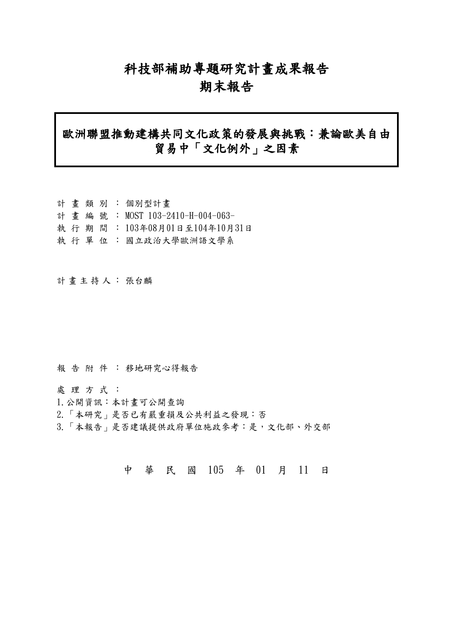# 科技部補助專題研究計畫成果報告

# 期末報告

# 歐洲聯盟推動建構共同文化政策的發展與挑戰:兼論歐美自由 貿易中「文化例外」之因素

|  |  | 計畫類別:個別型計畫                     |
|--|--|--------------------------------|
|  |  | 計畫編號: MOST 103-2410-H-004-063- |
|  |  | 執行期間: 103年08月01日至104年10月31日    |
|  |  | 執 行 單 位 : 國立政治大學歐洲語文學系         |

計畫主持人: 張台麟

報告附件: 移地研究心得報告

處理方式:

- 1.公開資訊:本計畫可公開查詢
- 2.「本研究」是否已有嚴重損及公共利益之發現:否
- 3.「本報告」是否建議提供政府單位施政參考:是,文化部、外交部

中 華 民 國 105 年 01 月 11 日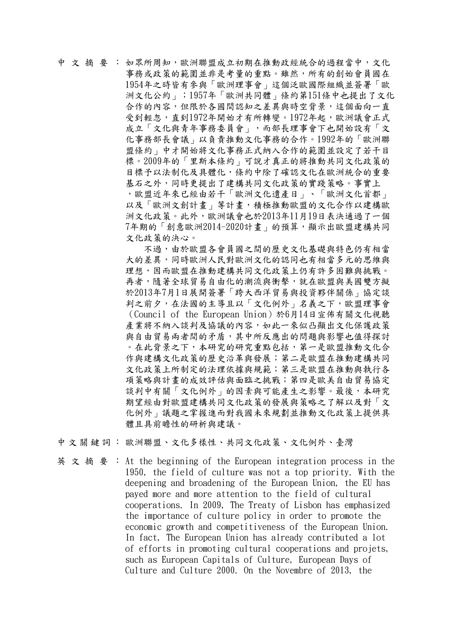## 中 文 摘 要 : 如眾所周知,歐洲聯盟成立初期在推動政經統合的過程當中,文化 事務或政策的範圍並非是考量的重點。雖然,所有的創始會員國在 1954年之時皆有參與「歐洲理事會」這個泛歐國際組織並簽署「歐 洲文化公約」;1957年「歐洲共同體」條約第151條中也提出了文化 合作的內容,但限於各國間認知之差異與時空背景,這個面向一直 受到輕忽,直到1972年開始才有所轉變。1972年起,歐洲議會正式 成立「文化與青年事務委員會」,而部長理事會下也開始設有「文 化事務部長會議」以負責推動文化事務的合作。1992年的「歐洲聯 盟條約」中才開始將文化事務正式納入合作的範圍並設定了若干目 標。2009年的「里斯本條約」可說才真正的將推動共同文化政策的 目標予以法制化及具體化,條約中除了確認文化在歐洲統合的重要 基石之外,同時更提出了建構共同文化政策的實踐策略。事實上 ,歐盟近年來已經由若干「歐洲文化遺產日」、「歐洲文化首都」 以及「歐洲文創計畫」等計畫,積極推動歐盟的文化合作以建構歐 洲文化政策。此外,歐洲議會也於2013年11月19日表決通過了一個 7年期的「創意歐洲2014-2020計畫」的預算,顯示出歐盟建構共同 文化政策的決心。

不過,由於歐盟各會員國之間的歷史文化基礎與特色仍有相當 大的差異,同時歐洲人民對歐洲文化的認同也有相當多元的思維與 理想,因而歐盟在推動建構共同文化政策上仍有許多困難與挑戰。 再者,隨著全球貿易自由化的潮流與衝擊,就在歐盟與美國雙方擬 於2013年7月1日展開簽署「跨大西洋貿易與投資夥伴關係」協定談 判之前夕,在法國的主導且以「文化例外」名義之下,歐盟理事會 (Council of the European Union)於6月14日宣佈有關文化視聽 產業將不納入談判及協議的內容,如此一來似凸顯出文化保護政策 與自由貿易兩者間的矛盾,其中所反應出的問題與影響也值得探討 。在此背景之下,本研究的研究重點包括,第一是歐盟推動文化合 作與建構文化政策的歷史沿革與發展;第二是歐盟在推動建構共同 文化政策上所制定的法理依據與規範;第三是歐盟在推動與執行各 項策略與計畫的成效評估與面臨之挑戰;第四是歐美自由貿易協定 談判中有關「文化例外」的因素與可能產生之影響。最後,本研究 期望經由對歐盟建構共同文化政策的發展與策略之了解以及對「文 化例外」議題之掌握進而對我國未來規劃並推動文化政策上提供具 體且具前瞻性的研析與建議。

中文關鍵詞: 歐洲聯盟、文化多樣性、共同文化政策、文化例外、臺灣

英文摘要:At the beginning of the European integration process in the 1950, the field of culture was not a top priority. With the deepening and broadening of the European Union, the EU has payed more and more attention to the field of cultural cooperations. In 2009, The Treaty of Lisbon has emphasized the importance of culture policy in order to promote the economic growth and competitiveness of the European Union. In fact, The European Union has already contributed a lot of efforts in promoting cultural cooperations and projets, such as European Capitals of Culture, European Days of Culture and Culture 2000. On the Novembre of 2013, the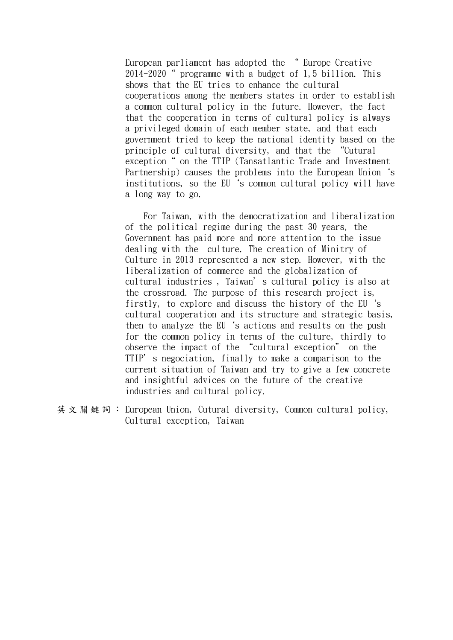European parliament has adopted the " Europe Creative 2014-2020" programme with a budget of 1,5 billion. This shows that the EU tries to enhance the cultural cooperations among the members states in order to establish a common cultural policy in the future. However, the fact that the cooperation in terms of cultural policy is always a privileged domain of each member state, and that each government tried to keep the national identity based on the principle of cultural diversity, and that the "Cutural exception" on the TTIP (Tansatlantic Trade and Investment Partnership) causes the problems into the European Union 's institutions, so the EU's common cultural policy will have a long way to go.

 For Taiwan, with the democratization and liberalization of the political regime during the past 30 years, the Government has paid more and more attention to the issue dealing with the culture. The creation of Minitry of Culture in 2013 represented a new step. However, with the liberalization of commerce and the globalization of cultural industries , Taiwan's cultural policy is also at the crossroad. The purpose of this research project is, firstly, to explore and discuss the history of the EU's cultural cooperation and its structure and strategic basis, then to analyze the EU's actions and results on the push for the common policy in terms of the culture, thirdly to observe the impact of the "cultural exception" on the TTIP's negociation, finally to make a comparison to the current situation of Taiwan and try to give a few concrete and insightful advices on the future of the creative industries and cultural policy.

英文關鍵詞: European Union, Cutural diversity, Common cultural policy, Cultural exception, Taiwan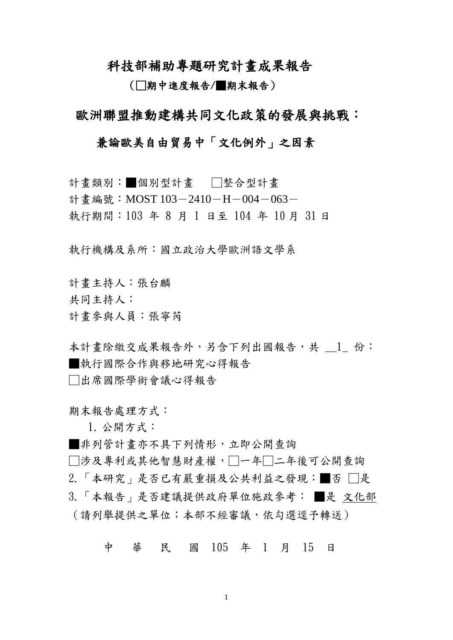科技部補助專題研究計畫成果報告

(□期中進度報告/■期末報告)

歐洲聯盟推動建構共同文化政策的發展與挑戰:

## 兼論歐美自由貿易中「文化例外」之因素

計畫類別:■個別型計畫 □整合型計畫 計書編號: MOST  $103-2410-H-004-063-$ 執行期間:103 年 8 月 1 日至 104 年 10 月 31 日

執行機構及系所:國立政治大學歐洲語文學系

計畫主持人:張台麟

共同主持人:

計畫參與人員:張寧芮

本計書除繳交成果報告外,另含下列出國報告,共 1 份: ■執行國際合作與移地研究心得報告 □出席國際學術會議心得報告

期末報告處理方式:

1. 公開方式:

■非列管計畫亦不具下列情形,立即公開查詢

□涉及專利或其他智慧財產權,□一年□二年後可公開查詢

2.「本研究」是否已有嚴重損及公共利益之發現:■否 □是

3.「本報告」是否建議提供政府單位施政參考: ■是 文化部 (請列舉提供之單位;本部不經審議,依勾選逕予轉送)

中 華 民 國 105 年 1 月 15 日

1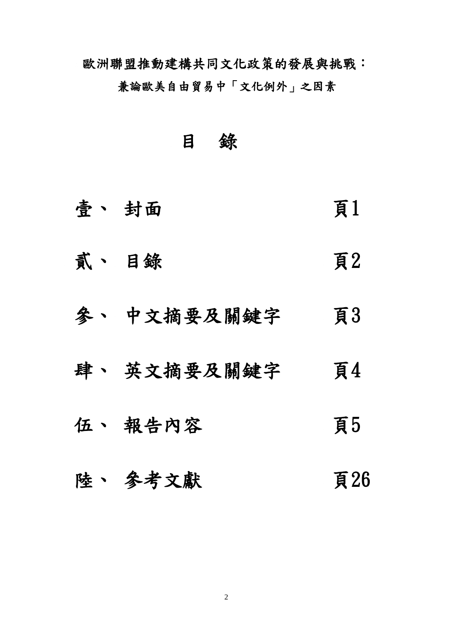歐洲聯盟推動建構共同文化政策的發展與挑戰:

兼論歐美自由貿易中「文化例外」之因素

目 錄

- 壹、 封面 頁1
- 貳、 目錄 頁2
- 參、 中文摘要及關鍵字 頁3
- 肆、 英文摘要及關鍵字 頁4
- 伍、報告內容 頁5
- 陸、 參考文獻 子名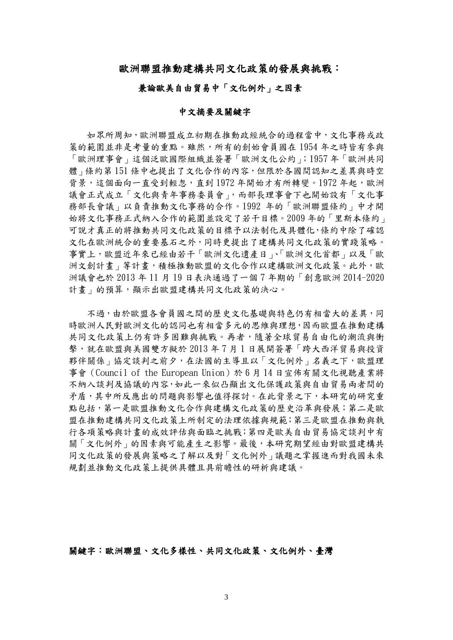### 歐洲聯盟推動建構共同文化政策的發展與挑戰:

#### 兼論歐美自由貿易中「文化例外」之因素

#### 中文摘要及關鍵字

 如眾所周知,歐洲聯盟成立初期在推動政經統合的過程當中,文化事務或政 策的範圍並非是考量的重點。雖然,所有的創始會員國在 1954 年之時皆有參與 「歐洲理事會」這個泛歐國際組織並簽署「歐洲文化公約」;1957 年「歐洲共同 體」條約第 151 條中也提出了文化合作的內容,但限於各國間認知之差異與時空 背景,這個面向一直受到輕忽,直到1972年開始才有所轉變。1972年起,歐洲 議會正式成立「文化與青年事務委員會」,而部長理事會下也開始設有「文化事 務部長會議」以負責推動文化事務的合作。1992 年的「歐洲聯盟條約」中才開 始將文化事務正式納入合作的範圍並設定了若干目標。2009 年的「里斯本條約」 可說才真正的將推動共同文化政策的目標予以法制化及具體化,條約中除了確認 文化在歐洲統合的重要基石之外,同時更提出了建構共同文化政策的實踐策略。 事實上,歐盟近年來已經由若干「歐洲文化遺產日」、「歐洲文化首都」以及「歐 洲文創計書,等計書,積極推動歐盟的文化合作以建構歐洲文化政策。此外,歐 洲議會也於 2013 年 11 月 19 日表決通過了一個 7 年期的「創意歐洲 2014-2020 計書 , 的預算, 顯示出歐盟建構共同文化政策的決心。

不過,由於歐盟各會員國之間的歷史文化基礎與特色仍有相當大的差異,同 時歐洲人民對歐洲文化的認同也有相當多元的思維與理想,因而歐盟在推動建構 共同文化政策上仍有許多困難與挑戰。再者,隨著全球貿易自由化的潮流與衝 擊,就在歐盟與美國雙方擬於 2013 年 7 月 1 日展開簽署「跨大西洋貿易與投資 夥伴關係」協定談判之前夕,在法國的主導且以「文化例外」名義之下,歐盟理 事會(Council of the European Union)於 6 月 14 日宣佈有關文化視聽產業將 不納入談判及協議的內容,如此一來似凸顯出文化保護政策與自由貿易兩者間的 矛盾,其中所反應出的問題與影響也值得探討。在此背景之下,本研究的研究重 點包括,第一是歐盟推動文化合作與建構文化政策的歷史沿革與發展;第二是歐 盟在推動建構共同文化政策上所制定的法理依據與規範;第三是歐盟在推動與執 行各項策略與計畫的成效評估與面臨之挑戰;第四是歐美自由貿易協定談判中有 關「文化例外」的因素與可能產生之影響。最後,本研究期望經由對歐盟建構共 同文化政策的發展與策略之了解以及對「文化例外」議題之掌握進而對我國未來 規劃並推動文化政策上提供具體且具前瞻性的研析與建議。

關鍵字:歐洲聯盟、文化多樣性、共同文化政策、文化例外、臺灣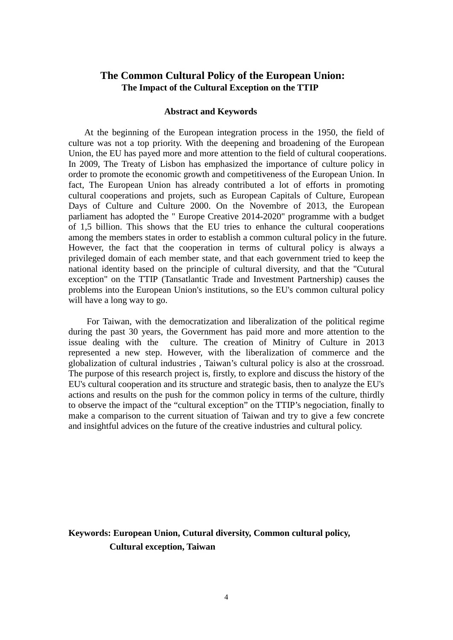## **The Common Cultural Policy of the European Union: The Impact of the Cultural Exception on the TTIP**

#### **Abstract and Keywords**

At the beginning of the European integration process in the 1950, the field of culture was not a top priority. With the deepening and broadening of the European Union, the EU has payed more and more attention to the field of cultural cooperations. In 2009, The Treaty of Lisbon has emphasized the importance of culture policy in order to promote the economic growth and competitiveness of the European Union. In fact, The European Union has already contributed a lot of efforts in promoting cultural cooperations and projets, such as European Capitals of Culture, European Days of Culture and Culture 2000. On the Novembre of 2013, the European parliament has adopted the " Europe Creative 2014-2020" programme with a budget of 1,5 billion. This shows that the EU tries to enhance the cultural cooperations among the members states in order to establish a common cultural policy in the future. However, the fact that the cooperation in terms of cultural policy is always a privileged domain of each member state, and that each government tried to keep the national identity based on the principle of cultural diversity, and that the "Cutural exception" on the TTIP (Tansatlantic Trade and Investment Partnership) causes the problems into the European Union's institutions, so the EU's common cultural policy will have a long way to go.

 For Taiwan, with the democratization and liberalization of the political regime during the past 30 years, the Government has paid more and more attention to the issue dealing with the culture. The creation of Minitry of Culture in 2013 represented a new step. However, with the liberalization of commerce and the globalization of cultural industries , Taiwan's cultural policy is also at the crossroad. The purpose of this research project is, firstly, to explore and discuss the history of the EU's cultural cooperation and its structure and strategic basis, then to analyze the EU's actions and results on the push for the common policy in terms of the culture, thirdly to observe the impact of the "cultural exception" on the TTIP's negociation, finally to make a comparison to the current situation of Taiwan and try to give a few concrete and insightful advices on the future of the creative industries and cultural policy.

## **Keywords: European Union, Cutural diversity, Common cultural policy, Cultural exception, Taiwan**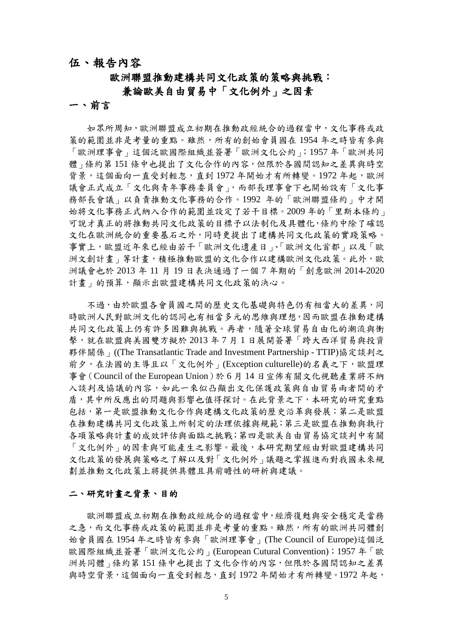## 伍、報告內容

# 歐洲聯盟推動建構共同文化政策的策略與挑戰:

## 兼論歐美自由貿易中「文化例外」之因素

### 一、前言

 如眾所周知,歐洲聯盟成立初期在推動政經統合的過程當中,文化事務或政 策的範圍並非是考量的重點。雖然,所有的創始會員國在 1954 年之時皆有參與 「歐洲理事會」這個泛歐國際組織並簽署「歐洲文化公約」;1957 年「歐洲共同 體」條約第151條中也提出了文化合作的內容,但限於各國間認知之差異與時空 背景,這個面向一直受到輕忽,直到1972年開始才有所轉變。1972年起,歐洲 議會正式成立「文化與青年事務委員會」,而部長理事會下也開始設有「文化事 務部長會議」以負責推動文化事務的合作。1992 年的「歐洲聯盟條約」中才開 始將文化事務正式納入合作的範圍並設定了若干目標。2009 年的「里斯本條約」 可說才真正的將推動共同文化政策的目標予以法制化及具體化,條約中除了確認 文化在歐洲統合的重要基石之外,同時更提出了建構共同文化政策的實踐策略。 事實上,歐盟近年來已經由若干「歐洲文化遺產日」、「歐洲文化首都」以及「歐 洲文創計畫,等計畫,積極推動歐盟的文化合作以建構歐洲文化政策。此外,歐 洲議會也於 2013 年 11 月 19 日表決通過了一個 7 年期的「創意歐洲 2014-2020 計書 的預算,顯示出歐盟建構共同文化政策的決心。

不過,由於歐盟各會員國之間的歷史文化基礎與特色仍有相當大的差異,同 時歐洲人民對歐洲文化的認同也有相當多元的思維與理想,因而歐盟在推動建構 共同文化政策上仍有許多困難與挑戰。再者,隨著全球貿易自由化的潮流與衝 擊,就在歐盟與美國雙方擬於 2013 年 7 月 1 日展開簽署「跨大西洋貿易與投資 夥伴關係」((The Transatlantic Trade and Investment Partnership - TTIP)協定談判之 前夕,在法國的主導且以「文化例外」(Exception culturelle)的名義之下,歐盟理 事會(Council of the European Union)於 6 月 14 日宣佈有關文化視聽產業將不納 入談判及協議的內容,如此一來似凸顯出文化保護政策與自由貿易兩者間的矛 盾,其中所反應出的問題與影響也值得探討。在此背景之下,本研究的研究重點 包括,第一是歐盟推動文化合作與建構文化政策的歷史沿革與發展;第二是歐盟 在推動建構共同文化政策上所制定的法理依據與規範;第三是歐盟在推動與執行 各項策略與計畫的成效評估與面臨之挑戰;第四是歐美自由貿易協定談判中有關 「文化例外」的因素與可能產生之影響。最後,本研究期望經由對歐盟建構共同 文化政策的發展與策略之了解以及對「文化例外」議題之掌握進而對我國未來規 劃並推動文化政策上將提供具體且具前瞻性的研析與建議。

#### 二、研究計畫之背景、目的

 歐洲聯盟成立初期在推動政經統合的過程當中,經濟復甦與安全穩定是當務 之急,而文化事務或政策的範圍並非是考量的重點。雖然,所有的歐洲共同體創 始會員國在 1954 年之時皆有參與「歐洲理事會」(The Council of Europe)這個泛 歐國際組織並簽署「歐洲文化公約」(European Cutural Convention);1957 年「歐 洲共同體」條約第 151 條中也提出了文化合作的內容,但限於各國間認知之差異 與時空背景,這個面向一直受到輕忽,直到 1972 年開始才有所轉變。1972 年起,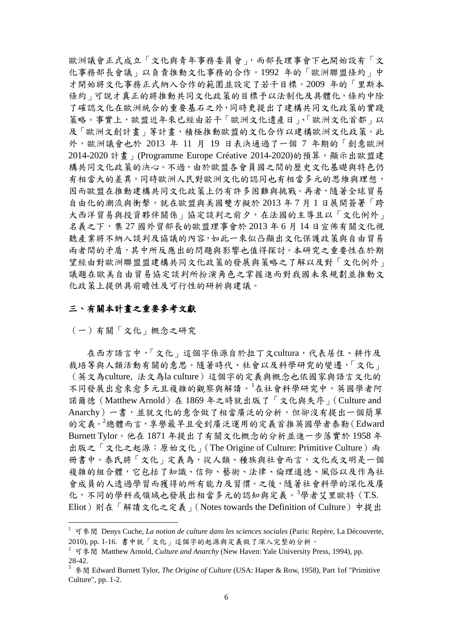歐洲議會正式成立「文化與青年事務委員會」,而部長理事會下也開始設有「文 化事務部長會議」以負責推動文化事務的合作。1992 年的「歐洲聯盟條約」中 才開始將文化事務正式納入合作的範圍並設定了若干目標。2009 年的「里斯本 條約」可說才真正的將推動共同文化政策的目標予以法制化及具體化,條約中除 了確認文化在歐洲統合的重要基石之外,同時更提出了建構共同文化政策的實踐 策略。事實上,歐盟近年來已經由若干「歐洲文化遺產日」、「歐洲文化首都」以 及「歐洲文創計書」等計書,積極推動歐盟的文化合作以建構歐洲文化政策。此 外,歐洲議會也於 2013 年 11 月 19 日表決通過了一個 7 年期的「創意歐洲 2014-2020 計畫」(Programme Europe Créative 2014-2020)的預算,顯示出歐盟建 構共同文化政策的決心。不過,由於歐盟各會員國之間的歷史文化基礎與特色仍 有相當大的差異,同時歐洲人民對歐洲文化的認同也有相當多元的思維與理想, 因而歐盟在推動建構共同文化政策上仍有許多困難與挑戰。再者,隨著全球貿易 自由化的潮流與衝擊,就在歐盟與美國雙方擬於 2013 年 7 月 1 日展開簽署「跨 大西洋貿易與投資夥伴關係」協定談判之前夕,在法國的主導且以「文化例外」 名義之下,集 27 國外貿部長的歐盟理事會於 2013 年 6 月 14 日宣佈有關文化視 聽產業將不納入談判及協議的內容,如此一來似凸顯出文化保護政策與自由貿易 兩者間的矛盾,其中所反應出的問題與影響也值得探討。本研究之重要性在於期 望經由對歐洲聯盟盟建構共同文化政策的發展與策略之了解以及對「文化例外」 議題在歐美自由貿易協定談判所扮演角色之掌握進而對我國未來規劃並推動文 化政策上提供具前瞻性及可行性的研析與建議。

## 三、有關本計畫之重要參考文獻

(一)有關「文化」概念之研究

在西方語言中,「文化」這個字係源自於拉丁文cultura,代表居住、耕作及 裁培等與人類活動有關的意思。隨著時代、社會以及科學研究的變遷,「文化」 (英文為culture, 法文為la culture)這個字的定義與概念也依國家與語言文化的 不同發展出愈來愈多元且複雜的觀察與解讀。[1](#page-8-0) 在社會科學研究中,英國學者阿 諾爾德(Matthew Arnold)在 1869 年之時就出版了「文化與失序」(Culture and Anarchy)一書,並就文化的意含做了相當廣泛的分析,但卻沒有提出一個簡單 的定義。[2](#page-8-1) 總體而言,享譽最早且受到廣泛運用的定義首推英國學者泰勒(Edward Burnett Tylor。他在 1871 年提出了有關文化概念的分析並進一步落實於 1958 年 出版之「文化之起源:原始文化」(The Origine of Culture: Primitive Culture)兩 冊書中。泰氏將「文化」定義為,從人類、種族與社會而言,文化或文明是一個 複雜的組合體,它包括了知識、信仰、藝術、法律、倫理道德、風俗以及作為社 會成員的人透過學習而獲得的所有能力及習慣。之後,隨著社會科學的深化及廣 化,不同的學科或領域也發展出相當多元的認知與定義。<sup>[3](#page-8-2)</sup>學者艾里歐特 (T.S. Eliot)則在「解讀文化之定義」(Notes towards the Definition of Culture)中提出

<span id="page-8-0"></span><sup>&</sup>lt;sup>1</sup> 可參閱 Denys Cuche, *La notion de culture dans les sciences sociales* (Paris: Repère, La Découverte, 2010), pp. 1-16. 書中就「文化」這個字的起源與定義做了深入完整的分析。

<span id="page-8-1"></span><sup>&</sup>lt;sup>2</sup> 可參閱 Matthew Arnold, *Culture and Anarchy* (New Haven: Yale University Press, 1994), pp. 28-42.

<span id="page-8-2"></span><sup>3</sup> 參閱 Edward Burnett Tylor, *The Origine of Culture* (USA: Haper & Row, 1958), Part 1of "Primitive Culture", pp. 1-2.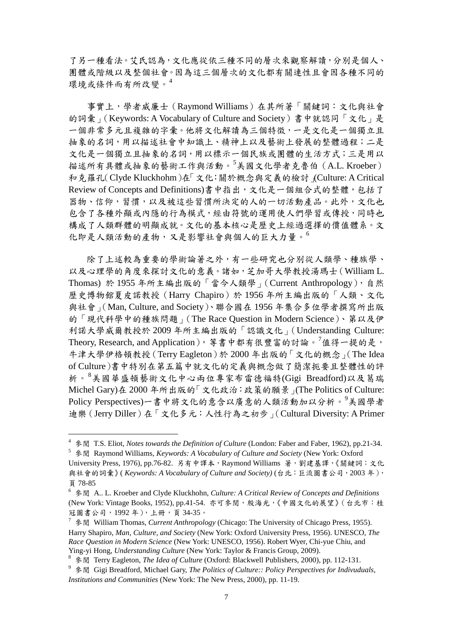了另一種看法。艾氏認為,文化應從依三種不同的層次來觀察解讀,分別是個人、 團體或階級以及整個社會。因為這三個層次的文化都有關連性且會因各種不同的 環境或條件而有所改變。[4](#page-9-0)

 事實上,學者威廉士(Raymond Williams)在其所著「關鍵詞:文化與社會 的詞彙」(Keywords: A Vocabulary of Culture and Society)書中就認同「文化」是 一個非常多元且複雜的字彙。他將文化解讀為三個特徵,一是文化是一個獨立且 抽象的名詞,用以描述社會中知識上、精神上以及藝術上發展的整體過程;二是 文化是一個獨立且抽象的名詞,用以標示一個民族或團體的生活方式;三是用以 描述所有具體或抽象的藝術工作與活動。<sup>[5](#page-9-1)</sup>美國文化學者克魯伯 (A.L. Kroeber) 和克羅孔(Clyde Kluckhohm)在「文化:關於概念與定義的檢討」(Culture: A Critical Review of Concepts and Definitions)書中指出,文化是一個組合式的整體,包括了 器物、信仰,習慣,以及被這些習慣所決定的人的一切活動產品。此外,文化也 包含了各種外顯或內隱的行為模式,經由符號的運用使人們學習或傳授,同時也 構成了人類群體的明顯成就。文化的基本核心是歷史上經過選擇的價值體系。文 化即是人類活動的產物,又是影響社會與個人的巨大力量。[6](#page-9-2)

 除了上述較為重要的學術論著之外,有一些研究也分別從人類學、種族學、 以及心理學的角度來探討文化的意義。諸如,芝加哥大學教授湯瑪士(William L. Thomas) 於 1955 年所主編出版的「當今人類學」(Current Anthropology),自然 歷史博物館夏皮諾教授(Harry Chapiro)於 1956 年所主編出版的「人類、文化 與社會」(Man, Culture, and Society)、聯合國在 1956 年集合多位學者撰寫所出版 的「現代科學中的種族問題」(The Race Question in Modern Science)、第以及伊 利諾大學威爾教授於 2009 年所主編出版的「認識文化」(Understanding Culture: Theory, Research, and Application), 等書中都有很豐富的討論。<sup>[7](#page-9-3)</sup>值得一提的是, 牛津大學伊格頓教授(Terry Eagleton)於 2000 年出版的「文化的概念」(The Idea of Culture)書中特別在第五篇中就文化的定義與概念做了簡潔扼要且整體性的評 析。[8](#page-9-4) 美國華盛頓藝術文化中心兩位專家布雷德福特(Gigi Breadford)以及葛瑞 Michel Gary)在 2000 年所出版的「文化政治:政策的願景」(The Politics of Culture: Policy Perspectives)一書中將文化的意含以廣意的人類活動加以分析。<sup>[9](#page-9-5)</sup>美國學者 迪樂(Jerry Diller)在「文化多元:人性行為之初步」(Cultural Diversity: A Primer

<span id="page-9-0"></span><sup>4</sup> 參閱 T.S. Eliot, *Notes towards the Definition of Culture* (London: Faber and Faber, 1962), pp.21-34. 5 參閱 Raymond Williams, *Keywords: A Vocabulary of Culture and Society* (New York: Oxford

<span id="page-9-1"></span>University Press, 1976), pp.76-82. 另有中譯本,Raymond Williams 著,劉建基譯,《關鍵詞:文化 與社會的詞彙》( *Keywords: A Vocabulary of Culture and Society)* (台北:巨流圖書公司,2003 年), 頁 78-85

<span id="page-9-2"></span><sup>6</sup> 參閱 A.. L. Kroeber and Clyde Kluckhohn, *Culture: A Critical Review of Concepts and Definitions* (New York: Vintage Books, 1952), pp.41-54. 亦可參閱,殷海光,《中國文化的展望》(台北市:桂 冠圖書公司,1992 年),上冊,頁 34-35。

<span id="page-9-3"></span><sup>7</sup> 參閱 William Thomas, *Current Anthropology* (Chicago: The University of Chicago Press, 1955). Harry Shapiro, *Man, Culture, and Society* (New York: Oxford University Press, 1956). UNESCO, *The Race Question in Modern Science* (New York: UNESCO, 1956). Robert Wyer, Chi-yue Chiu, and Ying-yi Hong, *Understanding Culture* (New York: Taylor & Francis Group, 2009).

<span id="page-9-4"></span><sup>8</sup> 參閱 Terry Eagleton, *The Idea of Culture* (Oxford: Blackwell Publishers, 2000), pp. 112-131.

<span id="page-9-5"></span><sup>9</sup> 參閱 Gigi Breadford, Michael Gary, *The Politics of Culture:: Policy Perspectives for Indivuduals, Institutions and Communities* (New York: The New Press, 2000), pp. 11-19.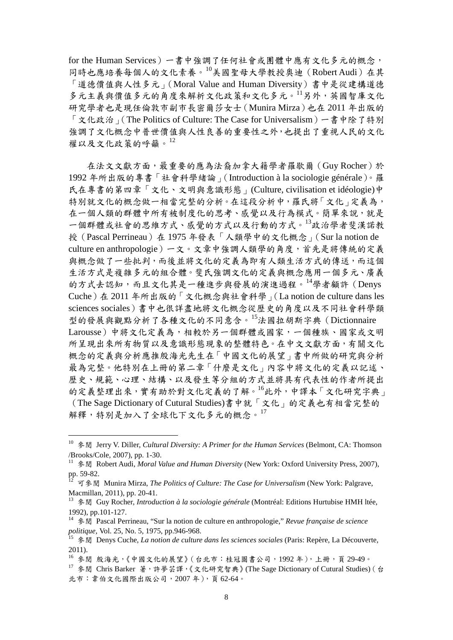for the Human Services)一書中強調了任何社會或團體中應有文化多元的概念, 同時也應培養每個人的文化素養。[10](#page-10-0)美國聖母大學教授奧迪(Robert Audi)在其 「道德價值與人性多元」(Moral Value and Human Diversity)書中是從建構道德 多元主義與價值多元的角度來解析文化政策和文化多元。[11](#page-10-1)另外,英國智庫文化 研究學者也是現任倫敦市副市長密爾莎女士(Munira Mirza)也在 2011 年出版的 「文化政治」(The Politics of Culture: The Case for Universalism)一書中除了特別 強調了文化概念中普世價值與人性良善的重要性之外,也提出了重視人民的文化 權以及文化政策的呼籲。[12](#page-10-2)

 在法文文獻方面,最重要的應為法裔加拿大籍學者羅歇爾(Guy Rocher)於 1992 年所出版的專書「社會科學緒論」(Introduction à la sociologie générale)。羅 氏在專書的第四章「文化、文明與意識形態」(Culture, civilisation et idéologie)中 特別就文化的概念做一相當完整的分析。在這段分析中,羅氏將「文化」定義為, 在一個人類的群體中所有被制度化的思考、感覺以及行為模式。簡單來說,就是 一個群體或社會的思維方式、感覺的方式以及行動的方式。[13](#page-10-3)政治學者斐漢諾教 授(Pascal Perrineau)在 1975 年發表「人類學中的文化概念」(Sur la notion de culture en anthropologie)一文。文章中強調人類學的角度,首先是將傳統的定義 與概念做了一些批判,而後並將文化的定義為即有人類生活方式的傳送,而這個 生活方式是複雜多元的組合體。斐氏強調文化的定義與概念應用一個多元、廣義 的方式去認知,而且文化其是一種進步與發展的演進過程。[14](#page-10-4)學者顧許(Denys Cuche)在 2011 年所出版的「文化概念與社會科學」(La notion de culture dans les sciences sociales)書中也很詳盡地將文化概念從歷史的角度以及不同社會科學類 型的發展與觀點分析了各種文化的不同意含。[15](#page-10-5)法國拉胡斯字典(Dictionnaire Larousse)中將文化定義為,相較於另一個群體或國家,一個種族、國家或文明 所呈現出來所有物質以及意識形態現象的整體特色。在中文文獻方面,有關文化 概念的定義與分析應推殷海光先生在「中國文化的展望」書中所做的研究與分析 最為完整。他特別在上冊的第二章「什麼是文化」內容中將文化的定義以記述、 歷史、規範、心理、結構、以及發生等分組的方式並將具有代表性的作者所提出 的定義整理出來,實有助於對文化定義的了解。[16](#page-10-6)此外,中譯本「文化研究字典」 (The Sage Dictionary of Cutural Studies)書中就「文化」的定義也有相當完整的 解釋,特別是加入了全球化下文化多元的概念。[17](#page-10-7)

<span id="page-10-0"></span> <sup>10</sup> 參閱 Jerry V. Diller, *Cultural Diversity: A Primer for the Human Services* (Belmont, CA: Thomson /Brooks/Cole, 2007), pp. 1-30.

<span id="page-10-1"></span><sup>11</sup> 參閱 Robert Audi, *Moral Value and Human Diversity* (New York: Oxford University Press, 2007), pp. 59-82.

<span id="page-10-2"></span><sup>12</sup> 可參閱 Munira Mirza, *The Politics of Culture: The Case for Universalism* (New York: Palgrave, Macmillan, 2011), pp. 20-41.

<span id="page-10-3"></span><sup>13</sup> 參閱 Guy Rocher, *Introduction à la sociologie générale* (Montréal: Editions Hurtubise HMH ltée, 1992), pp.101-127.

<span id="page-10-4"></span><sup>14</sup> 參閱 Pascal Perrineau, "Sur la notion de culture en anthropologie," *Revue française de science politique,* Vol. 25, No. 5, 1975, pp.946-968.

<span id="page-10-5"></span><sup>15</sup> 參閱 Denys Cuche, *La notion de culture dans les sciences sociales* (Paris: Repère, La Découverte, 2011).

<span id="page-10-6"></span><sup>16</sup> 參閱 殷海光,《中國文化的展望》(台北市:桂冠圖書公司,1992 年),上冊,頁 29-49。

<span id="page-10-7"></span><sup>17</sup> 參閱 Chris Barker 著,許夢芸譯,《文化研究智典》(The Sage Dictionary of Cutural Studies) (台 北市:韋伯文化國際出版公司,2007 年),頁 62-64。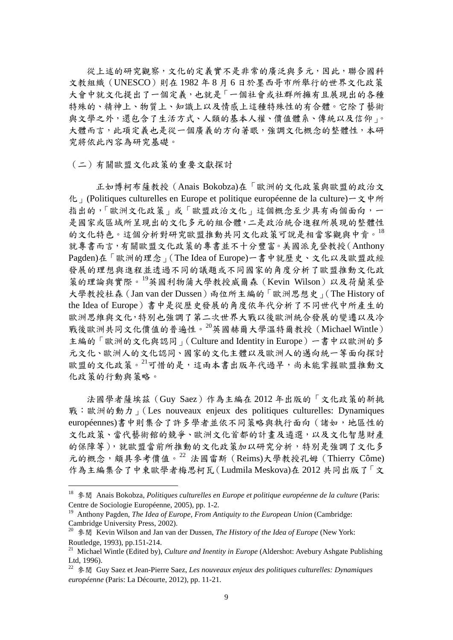從上述的研究觀察,文化的定義實不是非常的廣泛與多元,因此,聯合國科 文教組織(UNESCO)則在 1982 年 8 月 6 日於墨西哥市所舉行的世界文化政策 大會中就文化提出了一個定義,也就是「一個社會或社群所擁有且展現出的各種 特殊的、精神上、物質上、知識上以及情感上這種特殊性的有合體。它除了藝術 與文學之外,還包含了生活方式、人類的基本人權、價值體系、傳統以及信仰」。 大體而言,此項定義也是從一個廣義的方向著眼,強調文化概念的整體性,本研 究將依此內容為研究基礎。

(二)有關歐盟文化政策的重要文獻探討

 正如博柯布薩教授(Anais Bokobza)在「歐洲的文化政策與歐盟的政治文 化」(Politiques culturelles en Europe et politique européenne de la culture)一文中所 指出的,「歐洲文化政策」或「歐盟政治文化」這個概念至少具有兩個面向,一 是國家或區域所呈現出的文化多元的組合體,二是政治統合進程所展現的整體性 的文化特色。這個分析對研究歐盟推動共同文化政策可說是相當客觀與中肯。[18](#page-11-0) 就專書而言,有關歐盟文化政策的專書並不十分豐富。美國派克登教授(Anthony Pagden)在「歐洲的理念」(The Idea of Europe)一書中就歷史、文化以及歐盟政經 發展的理想與進程並透過不同的議題或不同國家的角度分析了歐盟推動文化政 策的理論與實際。[19](#page-11-1)英國利物蒲大學教授威爾森(Kevin Wilson)以及荷蘭萊登 大學教授杜森(Jan van der Dussen)兩位所主編的「歐洲思想史」(The History of the Idea of Europe)書中是從歷史發展的角度依年代分析了不同世代中所產生的 歐洲思維與文化,特別也強調了第二次世界大戰以後歐洲統合發展的變遷以及冷 戰後歐洲共同文化價值的普遍性。<sup>[20](#page-11-2)</sup>英國赫爾大學溫特爾教授 (Michael Wintle) 主編的「歐洲的文化與認同」(Culture and Identity in Europe)一書中以歐洲的多 元文化、歐洲人的文化認同、國家的文化主體以及歐洲人的邁向統一等面向探討 歐盟的文化政策。<sup>[21](#page-11-3)</sup>可惜的是,這兩本書出版年代過早,尚未能掌握歐盟推動文 化政策的行動與策略。

 法國學者薩埃茲(Guy Saez)作為主編在 2012 年出版的「文化政策的新挑 戰:歐洲的動力」(Les nouveaux enjeux des politiques culturelles: Dynamiques européennes)書中則集合了許多學者並依不同策略與執行面向(諸如,地區性的 文化政策、當代藝術館的競爭、歐洲文化首都的計畫及遴選,以及文化智慧財產 的保障等),就歐盟當前所推動的文化政策加以研究分析,特別是強調了文化多 元的概念,頗具參考價值。 $^{22}$  $^{22}$  $^{22}$  法國雷斯 (Reims)大學教授孔姆 (Thierry Côme) 作為主編集合了中東歐學者梅思柯瓦(Ludmila Meskova)在 2012 共同出版了「文

<span id="page-11-0"></span> <sup>18</sup> 參閱 Anais Bokobza, *Politiques culturelles en Europe et politique européenne de la culture* (Paris: Centre de Sociologie Européenne, 2005), pp. 1-2.

<span id="page-11-1"></span><sup>&</sup>lt;sup>19</sup> Anthony Pagden, *The Idea of Europe, From Antiquity to the European Union* (Cambridge: Cambridge University Press, 2002).

<span id="page-11-2"></span><sup>20</sup> 參閱 Kevin Wilson and Jan van der Dussen, *The History of the Idea of Europe* (New York: Routledge, 1993), pp.151-214.

<span id="page-11-3"></span><sup>21</sup> Michael Wintle (Edited by), *Culture and Inentity in Europe* (Aldershot: Avebury Ashgate Publishing Ltd, 1996).

<span id="page-11-4"></span><sup>22</sup> 參閱 Guy Saez et Jean-Pierre Saez, *Les nouveaux enjeux des politiques culturelles: Dynamiques européenne* (Paris: La Décourte, 2012), pp. 11-21.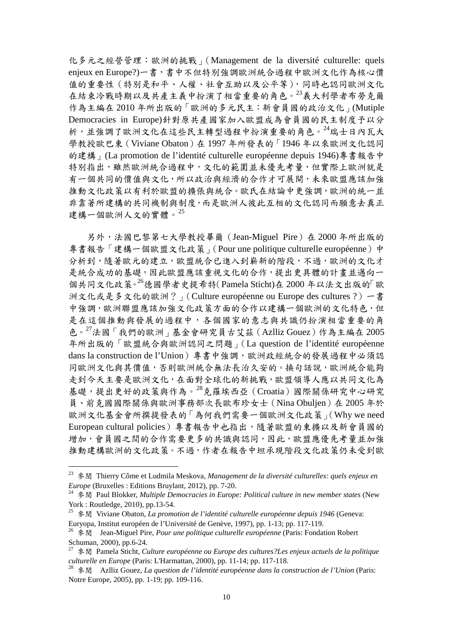化多元之經營管理:歐洲的挑戰」(Management de la diversité culturelle: quels enjeux en Europe?)一書,書中不但特別強調歐洲統合過程中歐洲文化作為核心價 值的重要性(特別是和平、人權、社會互助以及公平等),同時也認同歐洲文化 在結束冷戰時期以及共產主義中扮演了相當重要的角色。[23](#page-12-0)義大利學者布勞克爾 作為主編在 2010 年所出版的「歐洲的多元民主:新會員國的政治文化」(Mutiple Democracies in Europe)針對原共產國家加入歐盟成為會員國的民主制度予以分 析,並強調了歐洲文化在這些民主轉型過程中扮演重要的角色。[24](#page-12-1)瑞士日內瓦大 學教授歐巴東(Viviane Obaton)在 1997 年所發表的「1946 年以來歐洲文化認同 的建構」(La promotion de l'identité culturelle européenne depuis 1946)專書報告中 特別指出,雖然歐洲統合過程中,文化的範圍並未優先考量,但實際上歐洲就是 有一個共同的價值與文化,所以政治與經濟的合作才可展開,未來歐盟應該加強 推動文化政策以有利於歐盟的擴張與統合。歐氏在結論中更強調,歐洲的統一並 非靠著所建構的共同機制與制度,而是歐洲人彼此互相的文化認同而願意去真正 建構一個歐洲人文的實體。<sup>[25](#page-12-2)</sup>

 另外,法國巴黎第七大學教授畢爾(Jean-Miguel Pire)在 2000 年所出版的 專書報告「建構一個歐盟文化政策」(Pour une politique culturelle européenne)中 分析到,隨著歐元的建立,歐盟統合已進入到嶄新的階段,不過,歐洲的文化才 是統合成功的基礎,因此歐盟應該重視文化的合作,提出更具體的計書並邁向一 個共同文化政策。[26](#page-12-3)德國學者史提希特(Pamela Sticht)在 2000 年以法文出版的「歐 洲文化或是多文化的歐洲?」(Culture européenne ou Europe des cultures ?)一書 中強調,歐洲聯盟應該加強文化政策方面的合作以建構一個歐洲的文化特色,但 是在這個推動與發展的過程中,各個國家的意志與共識仍扮演相當重要的角 色。 $27$ 法國「我們的歐洲」基金會研究員古艾茲(Azlliz Gouez)作為主編在 2005 年所出版的「歐盟統合與歐洲認同之問題」(La question de l'identité européenne dans la construction de l'Union)專書中強調,歐洲政經統合的發展過程中必須認 同歐洲文化與其價值,否則歐洲統合無法長治久安的。換句話說,歐洲統合能夠 走到今天主要是歐洲文化,在面對全球化的新挑戰,歐盟領導人應以共同文化為 基礎,提出更好的政策與作為。<sup>[28](#page-12-5)</sup>克羅埃西亞 (Croatia)國際關係研究中心研究 員、前克國國際關係與歐洲事務部次長歐布珍女士(Nina Obuljen)在 2005 年於 歐洲文化基金會所撰提發表的「為何我們需要一個歐洲文化政策」(Why we need European cultural policies)專書報告中也指出,隨著歐盟的東擴以及新會員國的 增加,會員國之間的合作需要更多的共識與認同,因此,歐盟應優先考量並加強 推動建構歐洲的文化政策。不過,作者在報告中坦承現階段文化政策仍未受到歐

<span id="page-12-0"></span> <sup>23</sup> 參閱 Thierry Côme et Ludmila Meskova, *Management de la diversité culturelles: quels enjeux en Europe* (Bruxelles : Editions Bruylant, 2012), pp. 7-20.

<span id="page-12-1"></span><sup>24</sup> 參閱 Paul Blokker, *Multiple Democracies in Europe: Political culture in new member states* (New York : Routledge, 2010), pp.13-54.

<span id="page-12-2"></span><sup>25</sup> 參閱 Viviane Obaton, *La promotion de l'identité culturelle européenne depuis 1946* (Geneva: Euryopa, Institut européen de l'Université de Genève, 1997), pp. 1-13; pp. 117-119.

<span id="page-12-3"></span><sup>26</sup> 參閱 Jean-Miguel Pire, *Pour une politique culturelle européenne* (Paris: Fondation Robert Schuman, 2000), pp.6-24.

<span id="page-12-4"></span><sup>27</sup> 參閱 Pamela Sticht, *Culture européenne ou Europe des cultures?Les enjeux actuels de la politique culturelle en Europe* (Paris: L'Harmattan, 2000), pp. 11-14; pp. 117-118.

<span id="page-12-5"></span><sup>28</sup> 參閱 Azlliz Gouez, *La question de l'identité européenne dans la construction de l'Union* (Paris: Notre Europe, 2005), pp. 1-19; pp. 109-116.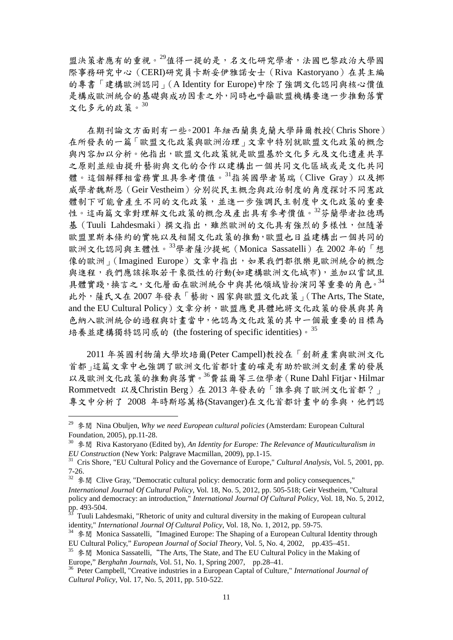盟決策者應有的重視。[29](#page-13-0)值得一提的是,名文化研究學者,法國巴黎政治大學國 際事務研究中心(CERI)研究員卡斯妥伊雅諾女士(Riva Kastoryano)在其主編 的專書「建構歐洲認同」(A Identity for Europe)中除了強調文化認同與核心價值 是構成歐洲統合的基礎與成功因素之外,同時也呼籲歐盟機構要進一步推動落實 文化多元的政策。[30](#page-13-1)

 在期刊論文方面則有一些。2001 年紐西蘭奧克蘭大學薛爾教授(Chris Shore) 在所發表的一篇「歐盟文化政策與歐洲治理」文章中特別就歐盟文化政策的概念 與內容加以分析。他指出,歐盟文化政策就是歐盟基於文化多元及文化遺產共享 之原則並經由提升藝術與文化的合作以建構出一個共同文化區域或是文化共同 體。這個解釋相當務實且具參考價值。[31](#page-13-2)指英國學者葛瑞(Clive Gray)以及挪 威學者魏斯恩(Geir Vestheim)分別從民主概念與政治制度的角度探討不同憲政 體制下可能會產生不同的文化政策,並進一步強調民主制度中文化政策的重要 性。這兩篇文章對理解文化政策的概念及產出具有參考價值。[32](#page-13-3)芬蘭學者拉德瑪 基(Tuuli Lahdesmaki)撰文指出,雖然歐洲的文化具有強烈的多樣性,但隨著 歐盟里斯本條約的實施以及相關文化政策的推動,歐盟也日益建構出一個共同的 歐洲文化認同與主體性。[33](#page-13-4)學者薩沙提妮 (Monica Sassatelli) 在 2002 年的「想 像的歐洲」(Imagined Europe)文章中指出,如果我們都很樂見歐洲統合的概念 與進程,我們應該採取若干象徵性的行動(如建構歐洲文化城市),並加以嘗試且 具體實踐,換言之,文化層面在歐洲統合中與其他領域皆扮演同等重要的角色。[34](#page-13-5) 此外,薩氏又在 2007 年發表「藝術、國家與歐盟文化政策」(The Arts, The State, and the EU Cultural Policy)文章分析,歐盟應更具體地將文化政策的發展與其角 色納入歐洲統合的過程與計畫當中,他認為文化政策的其中一個最重要的目標為 培養並建構獨特認同感的 (the fostering of specific identities)。[35](#page-13-6)

 2011 年英國利物蒲大學坎培爾(Peter Campell)教授在「創新產業與歐洲文化 首都」這篇文章中也強調了歐洲文化首都計畫的確是有助於歐洲文創產業的發展 以及歐洲文化政策的推動與落實。[36](#page-13-7)費茲爾等三位學者(Rune Dahl Fitjar、Hilmar Rommetvedt 以及Christin Berg)在 2013年發表的「誰參與了歐洲文化首都?」 專文中分析了 2008 年時斯塔萬格(Stavanger)在文化首都計畫中的參與,他們認

<span id="page-13-0"></span> <sup>29</sup> 參閱 Nina Obuljen, *Why we need European cultural policies* (Amsterdam: European Cultural Foundation, 2005), pp.11-28.

<span id="page-13-1"></span><sup>&</sup>lt;sup>30</sup> 参閲 Riva Kastoryano (Edited by), *An Identity for Europe: The Relevance of Mauticulturalism in EU Construction* (New York: Palgrave Macmillan, 2009), pp.1-15.

<span id="page-13-2"></span><sup>&</sup>lt;sup>31</sup> Cris Shore, "EU Cultural Policy and the Governance of Europe," *Cultural Analysis*, Vol. 5, 2001, pp. 7-26.

<span id="page-13-3"></span><sup>&</sup>lt;sup>32</sup> 参閲 Clive Gray, "Democratic cultural policy: democratic form and policy consequences," *International Journal Of Cultural Policy*, Vol. 18, No. 5, 2012, pp. 505-518; Geir Vestheim, "Cultural policy and democracy: an introduction," *International Journal Of Cultural Policy*, Vol. 18, No. 5, 2012, pp. 493-504.

<span id="page-13-4"></span> $\frac{53}{33}$  Tuuli Lahdesmaki, "Rhetoric of unity and cultural diversity in the making of European cultural identity," *International Journal Of Cultural Policy*, Vol. 18, No. 1, 2012, pp. 59-75.

<span id="page-13-5"></span><sup>&</sup>lt;sup>34</sup> 參閱 Monica Sassatelli, "Imagined Europe: The Shaping of a European Cultural Identity through EU Cultural Policy," *European Journal of Social Theory*, Vol. 5, No. 4, 2002, pp.435–451.

<span id="page-13-6"></span><sup>&</sup>lt;sup>35</sup> <sup> $\frac{4}{5}$ </sup>  $\frac{4}{5}$   $\frac{1}{2}$  Monica Sassatelli, "The Arts, The State, and The EU Cultural Policy in the Making of Europe," *Berghahn Journals*, Vol. 51, No. 1, Spring 2007, pp.28–41.

<span id="page-13-7"></span><sup>&</sup>lt;sup>36</sup> Peter Campbell, "Creative industries in a European Captal of Culture," *International Journal of Cultural Policy*, Vol. 17, No. 5, 2011, pp. 510-522.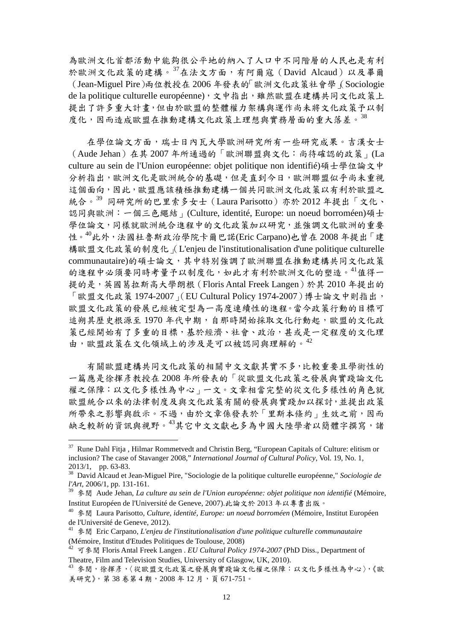為歐洲文化首都活動中能夠很公平地的納入了人口中不同階層的人民也是有利 於歐洲文化政策的建構。[37](#page-14-0)在法文方面,有阿爾寇(David Alcaud)以及畢爾 (Jean-Miguel Pire)兩位教授在 2006 年發表的「歐洲文化政策社會學」(Sociologie de la politique culturelle européenne),文中指出,雖然歐盟在建構共同文化政策上 提出了許多重大計畫,但由於歐盟的整體權力架構與運作尚未將文化政策予以制 度化,因而造成歐盟在推動建構文化政策上理想與實務層面的重大落差。[38](#page-14-1)

在學位論文方面,瑞士日內瓦大學歐洲研究所有一些研究成果。吉漢女士 (Aude Jehan)在其 2007 年所通過的「歐洲聯盟與文化:尚待確認的政策」(La culture au sein de l'Union européenne: objet politique non identifié)碩士學位論文中 分析指出,歐洲文化是歐洲統合的基礎,但是直到今日,歐洲聯盟似乎尚未重視 這個面向,因此,歐盟應該積極推動建構一個共同歐洲文化政策以有利於歐盟之 統合。[39](#page-14-2) 同研究所的巴里索多女士 (Laura Parisotto) 亦於 2012 年提出「文化、 認同與歐洲:一個三色繩結」(Culture, identité, Europe: un noeud borroméen)碩士 學位論文,同樣就歐洲統合進程中的文化政策加以研究,並強調文化歐洲的重要 性。[40](#page-14-3)此外,法國杜魯斯政治學院卡爾巴諾(Eric Carpano)也曾在 2008年提出「建 構歐盟文化政策的制度化」(L'enjeu de l'institutionalisation d'une politique culturelle communautaire)的碩士論文,其中特別強調了歐洲聯盟在推動建構共同文化政策 的進程中必須要同時考量予以制度化,如此才有利於歐洲文化的塑造。[41](#page-14-4)值得一 提的是,英國葛拉斯高大學朗根 (Floris Antal Freek Langen)於其 2010 年提出的 「歐盟文化政策 1974-2007」(EU Cultural Policy 1974-2007)博士論文中則指出, 歐盟文化政策的發展已經被定型為一高度連續性的進程。當今政策行動的目標可 追朔其歷史根源至1970年代中期,自那時開始採取文化行動起,歐盟的文化政 策已經開始有了多重的目標,基於經濟、社會、政治,甚或是一定程度的文化理 由,歐盟政策在文化領域上的涉及是可以被認同與理解的。<sup>[42](#page-14-5)</sup>

 有關歐盟建構共同文化政策的相關中文文獻其實不多,比較重要且學術性的 一篇應是徐揮彥教授在 2008 年所發表的「從歐盟文化政策之發展與實踐論文化 權之保障:以文化多樣性為中心」一文。文章相當完整的從文化多樣性的角色就 歐盟統合以來的法律制度及與文化政策有關的發展與實踐加以探討,並提出政策 所帶來之影響與啟示。不過,由於文章係發表於「里斯本條約」生效之前,因而 缺乏較新的資訊與視野。[43](#page-14-6)其它中文文獻也多為中國大陸學者以簡體字撰寫,諸

<span id="page-14-0"></span><sup>&</sup>lt;sup>37</sup> Rune Dahl Fitja, Hilmar Rommetvedt and Christin Berg, "European Capitals of Culture: elitism or inclusion? The case of Stavanger 2008," *International Journal of Cultural Policy*, Vol. 19, No. 1,

<span id="page-14-1"></span><sup>&</sup>lt;sup>38</sup> David Alcaud et Jean-Miguel Pire, "Sociologie de la politique culturelle européenne," *Sociologie de l'Art,* 2006/1, pp. 131-161.

<span id="page-14-2"></span><sup>39</sup> 參閱 Aude Jehan, *La culture au sein de l'Union européenne: objet politique non identifié* (Mémoire, Institut Européen de l'Université de Geneve, 2007).此論文於 2013 年以專書出版。

<span id="page-14-3"></span><sup>40</sup> 參閱 Laura Parisotto, *Culture, identité, Europe: un noeud borroméen* (Mémoire, Institut Européen de l'Université de Geneve, 2012).

<span id="page-14-4"></span><sup>41</sup> 參閱 Eric Carpano, *L'enjeu de l'institutionalisation d'une politique culturelle communautaire* (Mémoire, Institut d'Etudes Politiques de Toulouse, 2008)

<span id="page-14-5"></span><sup>42</sup> 可參閱 Floris Antal Freek Langen . *EU Cultural Policy 1974-2007* (PhD Diss., Department of Theatre, Film and Television Studies, University of Glasgow, UK, 2010).

<span id="page-14-6"></span><sup>43</sup> 參閱,徐揮彥,〈從歐盟文化政策之發展與實踐論文化權之保障:以文化多樣性為中心〉,《歐 美研究》,第 38 卷第 4 期, 2008 年 12 月, 百 671-751。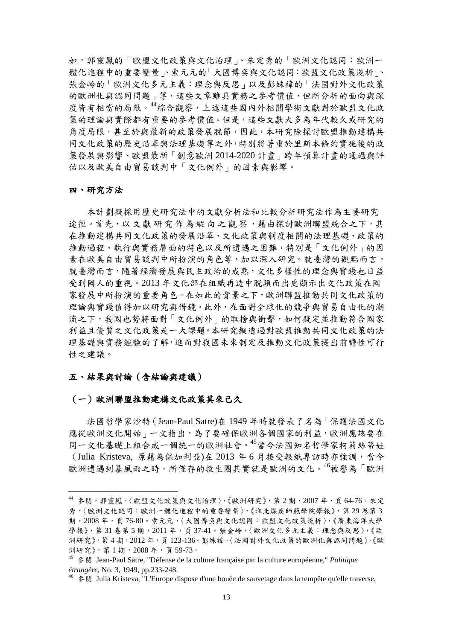如,郭靈鳳的「歐盟文化政策與文化治理」、朱定秀的「歐洲文化認同:歐洲一 體化進程中的重要變量」、索元元的「大國博奕與文化認同:歐盟文化政策淺析」、 張金岭的「歐洲文化多元主義:理念與反思」以及彭姝褘的「法國對外文化政策 的歐洲化與認同問題」等,這些文章雖具實務之參考價值,但所分析的面向與深 度皆有相當的局限。[44](#page-15-0)綜合觀察,上述這些國內外相關學術文獻對於歐盟文化政 策的理論與實際都有重要的參考價值。但是,這些文獻大多為年代較久或研究的 角度局限,甚至於與最新的政策發展脫節,因此,本研究除探討歐盟推動建構共 同文化政策的歷史沿革與法理基礎等之外,特別將著重於里斯本條約實施後的政 策發展與影響、歐盟最新「創意歐洲 2014-2020 計畫」跨年預算計畫的通過與評 估以及歐美自由貿易談判中「文化例外」的因素與影響。

#### 四、研究方法

本計劃擬採用歷史研究法中的文獻分析法和比較分析研究法作為主要研究 途徑。首先,以文獻研究作為縱向之觀察,藉由探討歐洲聯盟統合之下,其 在推動建構共同文化政策的發展沿革、文化政策與制度相關的法理基礎、政策的 推動過程、執行與實務層面的特色以及所遭遇之困難,特別是「文化例外」的因 素在歐美自由貿易談判中所扮演的角色等,加以深入研究。就臺灣的觀點而言, 就臺灣而言,隨著經濟發展與民主政治的成熟,文化多樣性的理念與實踐也日益 受到國人的重視。2013 年文化部在組織再造中脫穎而出更顯示出文化政策在國 家發展中所扮演的重要角色。在如此的背景之下,歐洲聯盟推動共同文化政策的 理論與實踐值得加以研究與借鏡。此外,在面對全球化的競爭與貿易自由化的潮 流之下,我國也勢將面對「文化例外」的取捨與衝擊,如何擬定並推動符合國家 利益且優質之文化政策是一大課題。本研究擬透過對歐盟推動共同文化政策的法 理基礎與實務經驗的了解,進而對我國未來制定及推動文化政策提出前瞻性可行 性之建議。

#### 五、結果與討論(含結論與建議)

#### (一)歐洲聯盟推動建構文化政策其來已久

 法國哲學家沙特(Jean-Paul Satre)在 1949 年時就發表了名為「保護法國文化 應從歐洲文化開始」一文指出,為了要確保歐洲各個國家的利益,歐洲應該要在 同一文化基礎上組合成一個統一的歐洲社會。[45](#page-15-1)當今法國知名哲學家柯莉絲蒂娃 (Julia Kristeva, 原藉為保加利亞)在 2013年6月接受報紙專訪時亦強調,當今 歐洲遭遇到暴風雨之時,所僅存的救生圈其實就是歐洲的文化。<sup>[46](#page-15-2)</sup>被譽為「歐洲

<span id="page-15-0"></span> $44$  參閱,郭靈鳳,〈歐盟文化政策與文化治理〉,《歐洲研究》,第2期,2007年,頁64-76。朱定 秀,〈歐洲文化認同:歐洲一體化進程中的重要變量〉,《淮北煤炭師範學院學報》,第 29 卷第 3 期, 2008年, 百 76-80。索元元,〈大國博奕與文化認同:歐盟文化政策淺析〉,《廣東海洋大學 學報》,第 31 卷第 5 期, 2011 年, 頁 37-41。張金岭,〈歐洲文化多元主義:理念與反思〉,《歐 洲研究》,第4期,2012年,頁123-136。彭姝禕,〈法國對外文化政策的歐洲化與認同問題〉,《歐 洲研究》,第 1 期,2008 年,頁 59-73。

<span id="page-15-1"></span><sup>45</sup> 參閱 Jean-Paul Satre, "Défense de la culture française par la culture européenne," *Politique étrangère*, No. 3, 1949, pp.233-248.

<span id="page-15-2"></span> $46 \text{ }$   $\frac{1}{2}$  Julia Kristeva, "L'Europe dispose d'une bouée de sauvetage dans la tempête qu'elle traverse,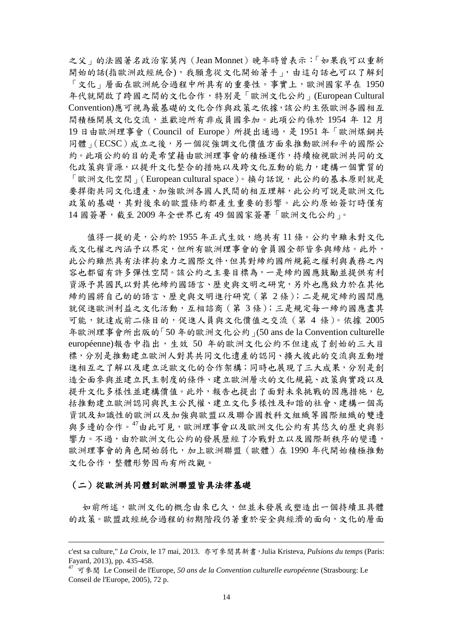之父」的法國著名政治家莫內(Jean Monnet)晚年時曾表示:「如果我可以重新 開始的話(指歐洲政經統合),我願意從文化開始著手」,由這句話也可以了解到 「文化」層面在歐洲統合過程中所具有的重要性。事實上,歐洲國家早在 1950 年代就開啟了跨國之間的文化合作,特別是「歐洲文化公約」(European Cultural Convention)應可視為最基礎的文化合作與政策之依據,該公約主張歐洲各國相互 間積極開展文化交流,並歡迎所有非成員國參加。此項公約係於 1954 年 12 月 19 日由歐洲理事會(Council of Europe)所提出通過,是 1951 年「歐洲煤鋼共 同體」(ECSC)成立之後,另一個從強調文化價值方面來推動歐洲和平的國際公 約。此項公約的目的是希望藉由歐洲理事會的積極運作,持續檢視歐洲共同的文 化政策與資源,以提升文化整合的措施以及跨文化互動的能力,建構一個實質的 「歐洲文化空間」(European cultural space)。換句話說,此公約的基本原則就是 要捍衛共同文化遺產、加強歐洲各國人民間的相互理解,此公約可說是歐洲文化 政策的基礎,其對後來的歐盟條約都產生重要的影響。此公約原始簽訂時僅有 14 國簽署,截至 2009 年全世界已有 49 個國家簽署「歐洲文化公約」。

 值得一提的是,公約於 1955 年正式生效,總共有 11 條。公約中雖未對文化 或文化權之內涵予以界定,但所有歐洲理事會的會員國全部皆參與締結。此外, 此公約雖然具有法律拘束力之國際文件,但其對締約國所規範之權利與義務之內 容也都留有許多彈性空間。該公約之主要目標為,一是締約國應鼓勵並提供有利 資源予其國民以對其他締約國語言、歷史與文明之研究,另外也應致力於在其他 締約國將自己的的語言、歷史與文明進行研究(第 2 條);二是規定締約國間應 就促進歐洲利益之文化活動,互相諮商(第 3 條);三是規定每一締約國應盡其 可能,就達成前二條目的,促進人員與文化價值之交流(第 4 條)。依據 2005 年歐洲理事會所出版的「50 年的歐洲文化公約」(50 ans de la Convention culturelle européenne)報告中指出,生效 50 年的歐洲文化公約不但達成了創始的三大目 標,分別是推動建立歐洲人對其共同文化遺產的認同、擴大彼此的交流與互動增 進相互之了解以及建立泛歐文化的合作架構;同時也展現了三大成果,分別是創 造全面參與並建立民主制度的條件、建立歐洲層次的文化規範、政策與實踐以及 提升文化多樣性並建構價值。此外,報告也提出了面對未來挑戰的因應措施,包 括推動建立歐洲認同與民主公民權、建立文化多樣性及和諧的社會、建構一個高 資訊及知識性的歐洲以及加強與歐盟以及聯合國教科文組織等國際組織的雙邊 與多邊的合作。[47](#page-16-0)由此可見,歐洲理事會以及歐洲文化公約有其悠久的歷史與影 響力。不過,由於歐洲文化公約的發展歷經了冷戰對立以及國際新秩序的變遷, 歐洲理事會的角色開始弱化,加上歐洲聯盟(歐體)在 1990 年代開始積極推動 文化合作,整體形勢因而有所改觀。

#### (二)從歐洲共同體到歐洲聯盟皆具法律基礎

如前所述,歐洲文化的概念由來已久,但並未發展或塑造出一個持續且具體 的政策。歐盟政經統合過程的初期階段仍著重於安全與經濟的面向,文化的層面

c'est sa culture," *La Croix,* le 17 mai, 2013. 亦可參閱其新書,Julia Kristeva, *Pulsions du temps* (Paris: Fayard, 2013), pp. 435-458.

<span id="page-16-0"></span><sup>47</sup> 可參閱 Le Conseil de l'Europe, *50 ans de la Convention culturelle européenne* (Strasbourg: Le Conseil de l'Europe, 2005), 72 p.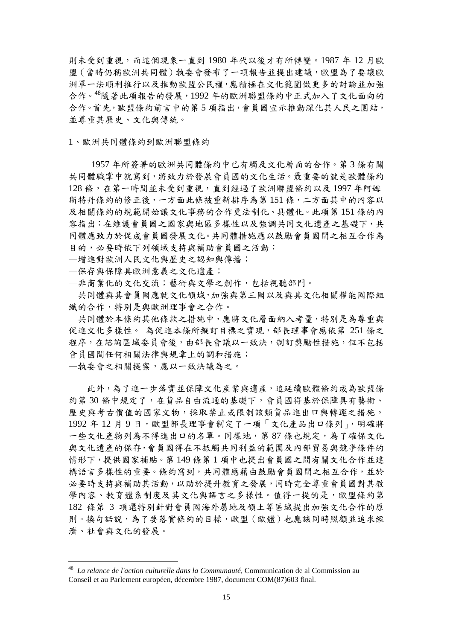則未受到重視,而這個現象一直到 1980 年代以後才有所轉變。1987 年 12 月歐 盟(當時仍稱歐洲共同體)執委會發布了一項報告並提出建議,歐盟為了要讓歐 洲單一法順利推行以及推動歐盟公民權,應積極在文化範圍做更多的討論並加強 合作。[48](#page-17-0)隨著此項報告的發展,1992 年的歐洲聯盟條約中正式加入了文化面向的 合作。首先,歐盟條約前言中的第 5 項指出,會員國宣示推動深化其人民之團結, 並尊重其歷史、文化與傳統。

1、歐洲共同體條約到歐洲聯盟條約

 1957 年所簽署的歐洲共同體條約中已有觸及文化層面的合作。第 3 條有關 共同體職掌中就寫到,將致力於發展會員國的文化生活。最重要的就是歐體條約 128 條,在第一時間並未受到重視,直到經過了歐洲聯盟條約以及 1997 年阿姆 斯特丹條約的修正後,一方面此條被重新排序為第 151 條,二方面其中的內容以 及相關條約的規範開始讓文化事務的合作更法制化、具體化。此項第 151 條的內 容指出:在維護會員國之國家與地區多樣性以及強調共同文化遺產之基礎下,共 同體應致力於促成會員國發展文化。共同體措施應以鼓勵會員國間之相互合作為 目的,必要時依下列領域支持與補助會員國之活動:

—增進對歐洲人民文化與歷史之認知與傳播;

—保存與保障具歐洲意義之文化遺產;

—非商業化的文化交流;藝術與文學之創作,包括視聽部門。

—共同體與其會員國應就文化領域,加強與第三國以及與具文化相關權能國際組 織的合作,特別是與歐洲理事會之合作。

—共同體於本條約其他條款之措施中,應將文化層面納入考量,特別是為尊重與 促進文化多樣性。 為促進本條所擬訂目標之實現,部長理事會應依第 251 條之 程序,在諮詢區域委員會後,由部長會議以一致決,制訂獎勵性措施,但不包括 會員國間任何相關法律與規章上的調和措施;

—執委會之相關提案,應以一致決議為之。

 此外,為了進一步落實並保障文化產業與遺產,追延續歐體條約成為歐盟條 約第30條中規定了,在貨品自由流通的基礎下,會員國得基於保障具有藝術、 歷史與考古價值的國家文物,採取禁止或限制該類貨品進出口與轉運之措施。 1992年12月9日,歐盟部長理事會制定了一項「文化產品出口條列」,明確將 一些文化產物列為不得進出口的名單。同樣地,第87條也規定,為了確保文化 與文化遺產的保存,會員國得在不抵觸共同利益的範圍及內部貿易與競爭條件的 情形下,提供國家補貼。第 149 條第 1 項中也提出會員國之間有關文化合作並建 構語言多樣性的重要。條約寫到,共同體應藉由鼓勵會員國間之相互合作,並於 必要時支持與補助其活動,以助於提升教育之發展,同時完全尊重會員國對其教 學內容、教育體系制度及其文化與語言之多樣性。值得一提的是,歐盟條約第 182 條第 3 項還特別針對會員國海外屬地及領土等區域提出加強文化合作的原 則。換句話說,為了要落實條約的目標,歐盟(歐體)也應該同時照顧並追求經 濟、社會與文化的發展。

<span id="page-17-0"></span> <sup>48</sup> *La relance de l'action culturelle dans la Communauté,* Communication de al Commission au Conseil et au Parlement européen, décembre 1987, document COM(87)603 final.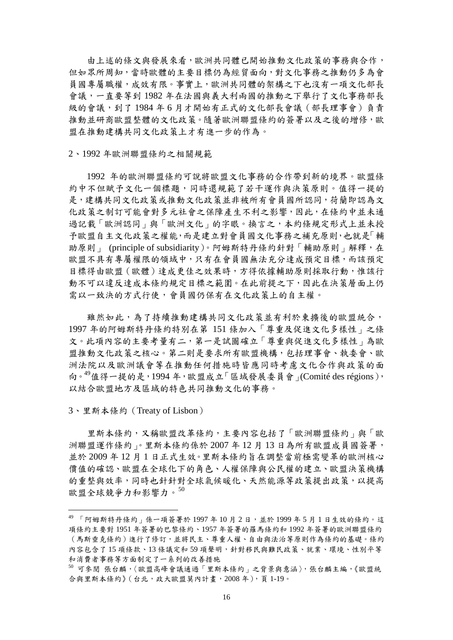由上述的條文與發展來看,歐洲共同體已開始推動文化政策的事務與合作, 但如眾所周知,當時歐體的主要目標仍為經貿面向,對文化事務之推動仍多為會 員國專屬職權,成效有限。事實上,歐洲共同體的架構之下也沒有一項文化部長 會議,一直要等到 1982 年在法國與義大利兩國的推動之下舉行了文化事務部長 級的會議,到了 1984 年 6 月才開始有正式的文化部長會議(部長理事會)負責 推動並研商歐盟整體的文化政策。隨著歐洲聯盟條約的簽署以及之後的增修,歐 盟在推動建構共同文化政策上才有進一步的作為。

#### 2、1992 年歐洲聯盟條約之相關規範

 1992 年的歐洲聯盟條約可說將歐盟文化事務的合作帶到新的境界。歐盟條 約中不但賦予文化一個標題,同時還規範了若干運作與決策原則。值得一提的 是,建構共同文化政策或推動文化政策並非被所有會員國所認同,荷蘭即認為文 化政策之制訂可能會對多元社會之保障產生不利之影響,因此,在條約中並未通 過記載「歐洲認同」與「歐洲文化」的字眼。換言之,本約條規定形式上並未授 予歐盟自主文化政策之權能,而是建立對會員國文化事務之補充原則,也就是「輔 助原則」 (principle of subsidiarity)。阿姆斯特丹條約針對「輔助原則」解釋,在 歐盟不具有專屬權限的領域中,只有在會員國無法充分達成預定目標,而該預定 目標得由歐盟(歐體)達成更佳之效果時,方得依據輔助原則採取行動,惟該行 動不可以違反達成本條約規定目標之範圍。在此前提之下,因此在決策層面上仍 需以一致決的方式行使,會員國仍保有在文化政策上的自主權。

雖然如此,為了持續推動建構共同文化政策並有利於東擴後的歐盟統合, 1997 年的阿姆斯特丹條約特別在第 151 條加入「尊重及促進文化多樣性」之條 文。此項內容的主要考量有二,第一是試圖確立「尊重與促進文化多樣性」為歐 盟推動文化政策之核心。第二則是要求所有歐盟機構,包括理事會、執委會、歐 洲法院以及歐洲議會等在推動任何措施時皆應同時考慮文化合作與政策的面 向。 $49$ 值得一提的是, 1994年, 歐盟成立「區域發展委員會」(Comité des régions), 以結合歐盟地方及區域的特色共同推動文化的事務。

3、里斯本條約(Treaty of Lisbon)

 里斯本條約,又稱歐盟改革條約,主要內容包括了「歐洲聯盟條約」與[「歐](http://zh.wikipedia.org/wiki/%E6%AD%90%E6%B4%B2%E8%81%AF%E7%9B%9F) [洲聯盟運](http://zh.wikipedia.org/wiki/%E6%AD%90%E6%B4%B2%E8%81%AF%E7%9B%9F)作條約」。里斯本條約係於 2007 年 12 月 13 日為所有歐盟成員國簽署, 並於 2009 年 12 月 1 日正式生效。里斯本條約旨在調整當前極需變革的歐洲核心 價值的確認、歐盟在全球化下的角色[、人權保](http://zh.wikipedia.org/wiki/%E4%BA%BA%E6%AC%8A)障與公民權的建立、歐盟決策機構 的重整與效率,同時也針針對全[球氣候暖](http://zh.wikipedia.org/wiki/%E6%B0%A3%E5%80%99)化、天[然能源等](http://zh.wikipedia.org/wiki/%E8%83%BD%E6%BA%90)政策提出政策,以提高 歐盟全球競爭力和影響力。[50](#page-18-1)

<span id="page-18-0"></span> $^{49}$  「阿姆斯特丹條約」係一項簽署於 1997年10月2日,並於 1999年5月1日生效的條約。這 項條約主要對 1951 年簽署的巴黎條約、1957 年簽署的羅馬條約和 1992 年簽署的歐洲聯盟條約 (馬斯垂克條約)進行了修訂,並將民主、尊重人權、自由與法治等原則作為條約的基礎。條約 內容包含了15 項條款、13 條議定和 59 項聲明,針對移民與難民政策、就業、環境、性別平等 和消費者事務等方面制定了一系列的改善措施

<span id="page-18-1"></span><sup>50</sup> 可參閱 張台麟,〈歐盟高峰會議通過「里斯本條約」之背景與意涵〉,張台麟主編,《歐盟統 合與里斯本條約》(台北,政大歐盟莫內計書,2008年),頁1-19。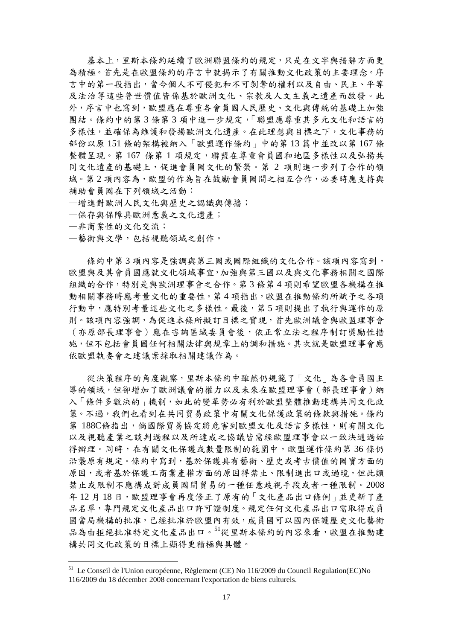基本上,里斯本條約延續了歐洲聯盟條約的規定,只是在文字與措辭方面更 為積極。首先是在歐盟條約的序言中就揭示了有關推動文化政策的主要理念。序 言中的第一段指出,當今個人不可侵犯和不可剝奪的權利以及自由、民主、平等 及法治等這些普世價值皆係基於歐洲文化、宗教及人文主義之遺產而啟發。此 外,序言中也寫到,歐盟應在尊重各會員國人民歷史、文化與傳統的基礎上加強 團結。條約中的第 3 條第 3 項中進一步規定,「聯盟應尊重其多元文化和語言的 多樣性,並確保為維護和發揚歐洲文化遺產。在此理想與目標之下,文化事務的 部份以原 151 條的架構被納入「歐盟運作條約」中的第 13 篇中並改以第 167 條 整體呈現。第 167 條第 1 項規定,聯盟在尊重會員國和地區多樣性以及弘揚共 同文化遺產的基礎上,促進會員國文化的繁榮。第 2 項則進一步列了合作的領 域。第2項內容為,歐盟的作為旨在鼓勵會員國間之相互合作,必要時應支持與 補助會員國在下列領域之活動:

- —增進對歐洲人民文化與歷史之認識與傳播;
- —保存與保障具歐洲意義之文化遺產;
- —非商業性的文化交流;
- —藝術與文學,包括視聽領域之創作。

條約中第3項內容是強調與第三國或國際組織的文化合作。該項內容寫到, 歐盟與及其會員國應就文化領域事宜,加強與第三國以及與文化事務相關之國際 組織的合作,特別是與歐洲理事會之合作。第 3 條第 4 項則希望歐盟各機構在推 動相關事務時應考量文化的重要性。第4項指出,歐盟在推動條約所賦予之各項 行動中,應特別考量這些文化之多樣性。最後,第 5 項則提出了執行與運作的原 則。該項內容強調,為促進本條所擬訂目標之實現,首先歐洲議會與歐盟理事會 (亦原部長理事會)應在咨詢區域委員會後,依正常立法之程序制訂獎勵性措 施,但不包括會員國任何相關法律與規章上的調和措施。其次就是歐盟理事會應 依歐盟執委會之建議案採取相關建議作為。

 從決策程序的角度觀察,里斯本條約中雖然仍規範了「文化」為各會員國主 導的領域,但卻增加了歐洲議會的權力以及未來在歐盟理事會(部長理事會)納 入「條件多數決的」機制,如此的變革勢必有利於歐盟整體推動建構共同文化政 策。不過,我們也看到在共同貿易政策中有關文化保護政策的條款與措施。條約 第 188C條指出,倘國際貿易協定將危害到歐盟文化及語言多樣性,則有關文化 以及視聽產業之談判過程以及所達成之協議皆需經歐盟理事會以一致決通過始 得辦理。同時,在有關文化保護或數量限制的範圍中,歐盟運作條約第36條仍 沿襲原有規定。條約中寫到,基於保護具有藝術、歷史或考古價值的國寶方面的 原因,或者基於保護工商業產權方面的原因得禁止、限制進出口或過境,但此類 禁止或限制不應構成對成員國間貿易的一種任意歧視手段或者一種限制。2008 年 12 月 18 日,歐盟理事會再度修正了原有的「文化產品出口條例」並更新了產 品名單,專門規定文化產品出口許可證制度。規定任何文化產品出口需取得成員 國當局機構的批准,已經批准於歐盟內有效,成員國可以國內保護歷史文化藝術 品為由拒絕批准特定文化產品出口。[51](#page-19-0)從里斯本條約的內容來看,歐盟在推動建 構共同文化政策的目標上顯得更積極與具體。

<span id="page-19-0"></span><sup>&</sup>lt;sup>51</sup> Le Conseil de l'Union européenne, Règlement (CE) No 116/2009 du Council Regulation(EC)No 116/2009 du 18 décember 2008 concernant l'exportation de biens culturels.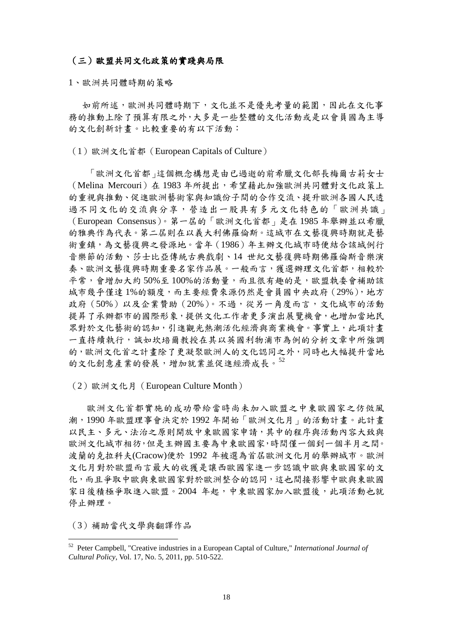### (三)歐盟共同文化政策的實踐與局限

1、歐洲共同體時期的策略

如前所述,歐洲共同體時期下,文化並不是優先考量的範圍,因此在文化事 務的推動上除了預算有限之外,大多是一些整體的文化活動或是以會員國為主導 的文化創新計畫。比較重要的有以下活動:

(1)歐洲文化首都(European Capitals of Culture)

「歐洲文化首都」這個概念構想是由已過逝的前希臘文化部長梅爾古莉女士 (Melina Mercouri)在 1983 年所提出,希望藉此加強歐洲共同體對文化政策上 的重視與推動、促進歐洲藝術家與知識份子間的合作交流、提升歐洲各國人民透 過不同文化的交流與分享,營造出一股具有多元文化特色的「歐洲共識」 (European Consensus)。第一屆的「歐洲文化首都」是在 1985 年舉辦並以希臘 的雅典作為代表。第二屆則在以義大利佛羅倫斯。這城市在文藝復興時期就是藝 術重鎮,為文藝復興之發源地。當年 (1986)年主辦文化城市時便結合該城例行 音樂節的活動、莎士比亞傳統古典戲劇、14 世紀文藝復興時期佛羅倫斯音樂演 奏、歐洲文藝復興時期重要名家作品展。一般而言,獲選辦理文化首都,相較於 平常,會增加大約 50%至100%的活動量,而且很有趣的是,歐盟執委會補助該 城市幾乎僅達1%的額度,而主要經費來源仍然是會員國中央政府(29%),地方 政府(50%)以及企業贊助(20%)。不過,從另一角度而言,文化城市的活動 提昇了承辦都市的國際形象,提供文化工作者更多演出展覽機會,也增加當地民 眾對於文化藝術的認知,引進觀光熱潮活化經濟與商業機會。事實上,此項計書 一直持續執行,誠如坎培爾教授在其以英國利物浦市為例的分析文章中所強調 的,歐洲文化首之計畫除了更凝聚歐洲人的文化認同之外,同時也大幅提升當地 的文化創意產業的發展,增加就業並促進經濟成長。[52](#page-20-0)

(2)歐洲文化月(European Culture Month)

歐洲文化首都實施的成功帶給當時尚未加入歐盟之中東歐國家之仿傚風 潮,1990 年歐盟理事會決定於 1992 年開始「歐洲文化月」的活動計畫。此計畫 以民主、多元、法治之原則開放中東歐國家申請,其中的程序與活動內容大致與 歐洲文化城市相彷,但是主辦國主要為中東歐國家,時間僅一個到一個半月之間。 波蘭的克拉科夫(Cracow)便於 1992 年被選為首屆歐洲文化月的舉辦城市。歐洲 文化月對於歐盟而言最大的收獲是讓西歐國家進一步認識中歐與東歐國家的文 化,而且爭取中歐與東歐國家對於歐洲整合的認同,這也間接影響中歐與東歐國 家日後積極爭取進入歐盟。2004 年起,中東歐國家加入歐盟後,此項活動也就 停止辦理。

(3)補助當代文學與翻譯作品

<span id="page-20-0"></span> <sup>52</sup> Peter Campbell, "Creative industries in a European Captal of Culture," *International Journal of Cultural Policy*, Vol. 17, No. 5, 2011, pp. 510-522.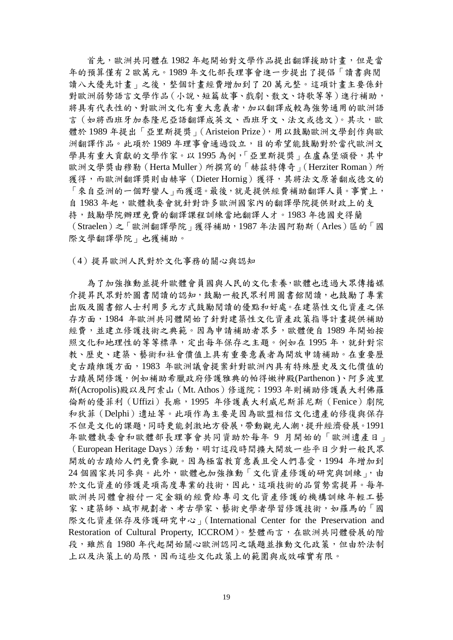首先, 歐洲共同體在 1982 年起開始對文學作品提出翻譯援助計書, 但是當 年的預算僅有 2 歐萬元。1989 年文化部長理事會進一步提出了提倡「讀書與閱 讀八大優先計畫」之後,整個計畫經費增加到了20萬元整。這項計畫主要係針 對歐洲弱勢語言文學作品(小說、短篇故事、戲劇、散文、詩歌等等)進行補助, 將具有代表性的、對歐洲文化有重大意義者,加以翻譯成較為強勢通用的歐洲語 言(如將西班牙加泰隆尼亞語翻譯成英文、西班牙文、法文或德文)。其次,歐 體於 1989 年提出「亞里斯提獎」(Aristeion Prize),用以鼓勵歐洲文學創作與歐 洲翻譯作品。此項於 1989 年理事會通過設立,目的希望能鼓勵對於當代歐洲文 學具有重大貢獻的文學作家。以1995 為例,「亞里斯提獎」在盧森堡頒發,其中 歐洲文學獎由穆勒 (Herta Muller) 所撰寫的「赫茲特傳奇」(Herziter Roman) 所 獲得,而歐洲翻譯獎則由赫寧(Dieter Hornig)獲得,其將法文原著翻成德文的 「來自亞洲的一個野蠻人」而獲選。最後,就是提供經費補助翻譯人員。事實上, 自1983年起,歐體執委會就針對許多歐洲國家內的翻譯學院提供財政上的支 持,鼓勵學院辦理免費的翻譯課程訓練當地翻譯人才。1983 年德國史得蘭 (Straelen)之「歐洲翻譯學院」獲得補助,1987 年法國阿勒斯(Arles)區的「國 際文學翻譯學院」也獲補助。

(4)提昇歐洲人民對於文化事務的關心與認知

為了加強推動並提升歐體會員國與人民的文化素養,歐體也透過大眾傳播媒 介提昇民眾對於圖書閱讀的認知,鼓勵一般民眾利用圖書館閱讀,也鼓勵了專業 出版及圖書館人士利用多元方式鼓勵閱讀的優點和好處。在建築性文化資產之保 存方面,1984 年歐洲共同體開始了針對建築性文化資產政策指導計畫提供補助 經費,並建立修護技術之典範。因為申請補助者眾多,歐體便自 1989 年開始按 照文化和地理性的等等標準,定出每年保存之主題。例如在 1995年,就針對宗 教、歷史、建築、藝術和社會價值上具有重要意義者為開放申請補助。在重要歷 史古蹟維護方面,1983 年歐洲議會提案針對歐洲內具有特殊歷史及文化價值的 古蹟展開修護,例如補助希臘政府修護雅典的帕得嫩神殿(Parthenon )、阿多波里 斯(Acropolis)殿以及阿索山(Mt. Athos)修道院;1993 年則補助修護義大利佛羅 倫斯的優菲利 (Uffizi)長廊, 1995 年修護義大利威尼斯菲尼斯 (Fenice)劇院 和狄菲(Delphi)遺址等。此項作為主要是因為歐盟相信文化遺產的修復與保存 不但是文化的課題,同時更能刺激地方發展,帶動觀光人潮,提升經濟發展。1991 年歐體執委會和歐體部長理事會共同資助於每年 9 月開始的「歐洲遺產日」 (European Heritage Days)活動,明訂這段時間擴大開放一些平日少對一般民眾 開放的古蹟給人們免費參觀。因為極富教育意義且受人們喜愛,1994年增加到 24 個國家共同參與。此外,歐體也加強推動「文化資產修護的研究與訓練」,由 於文化資產的修護是項高度專業的技術,因此,這項技術的品質勢需提昇。每年 歐洲共同體會撥付一定金額的經費給專司文化資產修護的機構訓練年輕工藝 家、建築師、城市規劃者、考古學家、藝術史學者學習修護技術,如羅馬的「國 際文化資產保存及修護研究中心」(International Center for the Preservation and Restoration of Cultural Property, ICCROM)。整體而言,在歐洲共同體發展的階 段,雖然自1980年代起開始關心歐洲認同之議題並推動文化政策,但由於法制 上以及決策上的局限,因而這些文化政策上的範圍與成效確實有限。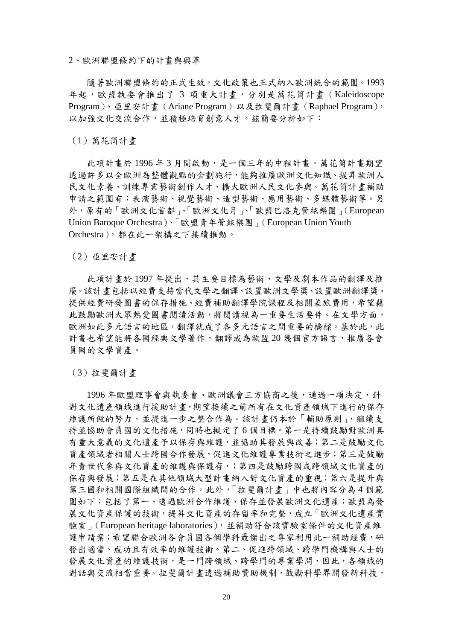2、歐洲聯盟條約下的計畫與興革

隨著歐洲聯盟條約的正式生效,文化政策也正式納入歐洲統合的範圍。1993 年起,歐盟執委會推出了 3 項重大計畫,分別是萬花筒計畫(Kaleidoscope Program)、亞里安計畫(Ariane Program)以及拉斐爾計畫(Raphael Program), 以加強文化交流合作,並積極培育創意人才。玆簡要分析如下:

(1)萬花筒計畫

此項計畫於 1996 年 3 月間啟動,是一個三年的中程計畫。萬花筒計畫期望 透過許多以全歐洲為整體觀點的企劃施行,能夠推廣歐洲文化知識、提昇歐洲人 民文化素養、訓練專業藝術創作人才、擴大歐洲人民文化參與。萬花筒計畫補助 申請之範圍有:表演藝術、視覺藝術、造型藝術、應用藝術、多媒體藝術等。另 外,原有的「歐洲文化首都」、「歐洲文化月」、「歐盟巴洛克管絃樂團」(European Union Baroque Orchestra)、「歐盟青年管絃樂團」(European Union Youth Orchestra),都在此一架構之下接續推動。

(2)亞里安計畫

此項計書於 1997 年提出,其主要目標為藝術,文學及劇本作品的翻譯及推 廣。該計畫包括以經費支持當代文學之翻譯、設置歐洲文學獎、設置歐洲翻譯獎、 提供經費研發圖書的保存措施、經費補助翻譯學院課程及相關差旅費用,希望藉 此鼓勵歐洲大眾熱愛圖書閱讀活動,將閱讀視為一重要生活要件。在文學方面, 歐洲如此多元語言的地區,翻譯就成了各多元語言之間重要的橋樑。基於此,此 計畫也希望能將各國經典文學著作,翻譯成為歐盟 20 幾個官方語言,推廣各會 員國的文學資產。

(3)拉斐爾計畫

1996年歐盟理事會與執委會、歐洲議會三方協商之後,通過一項決定,針 對文化遺產領域進行援助計畫,期望接續之前所有在文化資產領域下進行的保存 維護所做的努力,並提進一步之整合作為。該計畫仍本於「輔助原則」,繼續支 持並協助會員國的文化措施,同時也擬定了 6 個目標。第一是持續鼓勵對歐洲具 有重大意義的文化遺產予以保存與維護,並協助其發展與改善;第二是鼓勵文化 資產領域者相關人士跨國合作發展,促進文化維護專業技術之進步;第三是鼓勵 年青世代參與文化資產的維護與保護存,;第四是鼓勵跨國或跨領域文化資產的 保存與發展;第五是在其他領域大型計畫納入對文化資產的重視;第六是提升與 第三國和相關國際組織間的合作。此外,「拉斐爾計畫」中也將內容分為 4 個範 圍如下;包括了第一、透過歐洲合作維護、保存並發展歐洲文化遺產;歐盟為發 展文化資產保護的技術,提昇文化資產的存留率和完整,成立「歐洲文化遺產實 驗室」(European heritage laboratories),並補助符合該實驗室條件的文化資產維 護申請案;希望聯合歐洲各會員國各個學科最傑出之專家利用此一補助經費,研 發出適當、成功且有效率的維護技術。第二、促進跨領域、跨學門機構與人士的 發展文化資產的維護技術,是一門跨領域、跨學門的專業學問,因此,各領域的 對話與交流相當重要。拉斐爾計書透過補助贊助機制,鼓勵科學界開發新科技,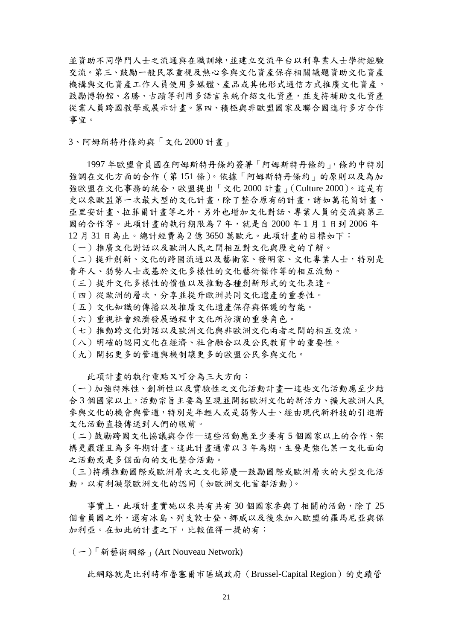並資助不同學門人士之流通與在職訓練,並建立交流平台以利專業人士學術經驗 交流。第三、鼓勵一般民眾重視及熱心參與文化資產保存相關議題資助文化資產 機構與文化資產工作人員使用多媒體、產品或其他形式通信方式推廣文化資產, 鼓勵博物館、名勝、古蹟等利用多語言系統介紹文化資產,並支持補助文化資產 從業人員跨國教學或展示計畫。第四、積極與非歐盟國家及聯合國進行多方合作 事宜。

3、阿姆斯特丹條約與「文化 2000 計畫」

1997 年歐盟會員國在阿姆斯特丹條約簽署「阿姆斯特丹條約」,條約中特別 強調在文化方面的合作(第 151 條)。依據「阿姆斯特丹條約」的原則以及為加 強歐盟在文化事務的統合,歐盟提出「文化 2000 計畫」(Culture 2000)。這是有 史以來歐盟第一次最大型的文化計畫,除了整合原有的計畫,諸如萬花筒計畫、 亞里安計畫、拉菲爾計畫等之外,另外也增加文化對話、專業人員的交流與第三 國的合作等。此項計畫的執行期限為 7 年,就是自 2000 年 1 月 1 日到 2006 年 12 月 31 日為止。總計經費為 2 億 3650 萬歐元。此項計畫的目標如下:

- (一)推廣文化對話以及歐洲人民之間相互對文化與歷史的了解。
- (二)提升創新、文化的跨國流通以及藝術家、發明家、文化專業人士,特別是 青年人、弱勢人士或基於文化多樣性的文化藝術傑作等的相互流動。
- (三)提升文化多樣性的價值以及推動各種創新形式的文化表達。
- (四)從歐洲的層次,分享並提升歐洲共同文化遺產的重要性。
- (五)文化知識的傳播以及推廣文化遺產保存與保護的智能。
- (六)重視社會經濟發展過程中文化所扮演的重要角色。
- (七)推動跨文化對話以及歐洲文化與非歐洲文化兩者之間的相互交流。
- (八)明確的認同文化在經濟、社會融合以及公民教育中的重要性。
- (九)開拓更多的管道與機制讓更多的歐盟公民參與文化。

此項計畫的執行重點又可分為三大方向:

(一)加強特殊性、創新性以及實驗性之文化活動計畫—這些文化活動應至少結 合 3 個國家以上,活動宗旨主要為呈現並開拓歐洲文化的新活力、擴大歐洲人民 參與文化的機會與管道,特別是年輕人或是弱勢人士、經由現代新科技的引進將 文化活動直接傳送到人們的眼前。

(二)鼓勵跨國文化協議與合作—這些活動應至少要有 5 個國家以上的合作、架 構更嚴謹且為多年期計畫。這此計畫通常以 3 年為期,主要是強化某一文化面向 之活動或是多個面向的文化整合活動。

(三)持續推動國際或歐洲層次之文化節慶—鼓勵國際或歐洲層次的大型文化活 動,以有利凝聚歐洲文化的認同(如歐洲文化首都活動)。

 事實上,此項計畫實施以來共有共有 30 個國家參與了相關的活動,除了 25 個會員國之外,還有冰島、列支敦士登、挪威以及後來加入歐盟的羅馬尼亞與保 加利亞。在如此的計畫之下,比較值得一提的有:

(一)「新藝術網絡」(Art Nouveau Network)

此網路就是比利時布魯塞爾市區域政府(Brussel-Capital Region)的史蹟管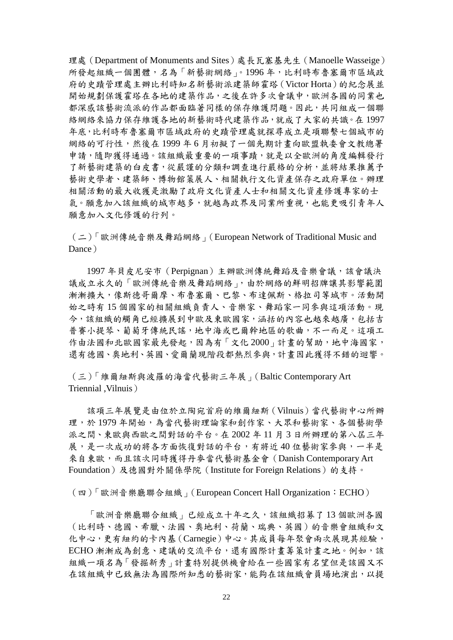理處 (Department of Monuments and Sites)處長瓦塞基先生 (Manoelle Wasseige) 所發起組織一個團體,名為「新藝術網絡」。1996年,比利時布魯塞爾市區域政 府的史蹟管理處主辦比利時知名新藝術派建築師霍塔(Victor Horta)的紀念展並 開始規劃保護霍塔在各地的建築作品,之後在許多次會議中,歐洲各國的同業也 都深感該藝術流派的作品都面臨著同樣的保存維護問題。因此,共同組成一個聯 絡網絡來協力保存維護各地的新藝術時代建築作品,就成了大家的共識。在 1997 年底,比利時布魯塞爾市區域政府的史蹟管理處就探尋成立是項聯繫七個城市的 網絡的可行性,然後在1999年6月初擬了一個先期計畫向歐盟執委會文教總署 申請,隨即獲得通過。該組織最重要的一項事蹟,就是以全歐洲的角度編輯發行 了新藝術建築的白皮書,從嚴謹的分類和調查進行嚴格的分析,並將結果推薦予 藝術史學者、建築師、博物館策展人、相關執行文化資產保存之政府單位。辦理 相關活動的最大收獲是激勵了政府文化資產人士和相關文化資產修護專家的士 氣。願意加入該組織的城市越多,就越為政界及同業所重視,也能更吸引青年人 願意加入文化修護的行列。

(二)「歐洲傳統音樂及舞蹈網絡」(European Network of Traditional Music and Dance)

1997 年貝皮尼安市(Perpignan)主辦歐洲傳統舞蹈及音樂會議,該會議決 議成立永久的「歐洲傳統音樂及舞蹈網絡」,由於網絡的鮮明招牌讓其影響範圍 漸漸擴大,像斯德哥爾摩、布魯塞爾、巴黎、布達佩斯、格拉司等城市。活動開 始之時有 15 個國家的相關組織負責人、音樂家、舞蹈家一同參與這項活動。現 今,該組織的觸角已經擴展到中歐及東歐國家,涵括的內容也越來越廣,包括吉 普賽小提琴、葡萄牙傳統民謠,地中海或巴爾幹地區的歌曲,不一而足。這項工 作由法國和北歐國家最先發起,因為有「文化2000」計畫的幫助,地中海國家, 還有德國、奧地利、英國、愛爾蘭現階段都熱烈參與,計畫因此獲得不錯的迴響。

(三)「維爾紐斯與波羅的海當代藝術三年展」(Baltic Contemporary Art Triennial ,Vilnuis)

該項三年展覽是由位於立陶宛首府的維爾紐斯(Vilnuis)當代藝術中心所辦 理,於1979年開始,為當代藝術理論家和創作家、大眾和藝術家、各個藝術學 派之間、東歐與西歐之間對話的平台。在 2002 年 11 月 3 日所辦理的第八屆三年 展,是一次成功的將各方面恢復對話的平台,有將近40位藝術家參與,一半是 來自東歐,而且該次同時獲得丹麥當代藝術基金會(Danish Contemporary Art Foundation)及德國對外關係學院(Institute for Foreign Relations)的支持。

(四)「歐洲音樂廳聯合組織」(European Concert Hall Organization:ECHO)

「歐洲音樂廳聯合組織」已經成立十年之久,該組織招募了 13 個歐洲各國 (比利時、德國、希臘、法國、奧地利、荷蘭、瑞典、英國)的音樂會組織和文 化中心,更有紐約的卡內基(Carnegie)中心。其成員每年聚會兩次展現其經驗, ECHO 漸漸成為創意、建議的交流平台,還有國際計書籌策計書之地。例如,該 組織一項名為「發掘新秀」計畫特別提供機會給在一些國家有名望但是該國又不 在該組織中已致無法為國際所知悉的藝術家,能夠在該組織會員場地演出,以提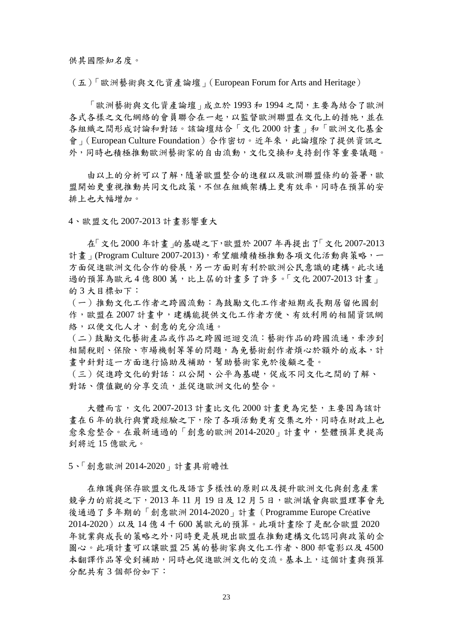供其國際知名度。

(五)「歐洲藝術與文化資產論壇」(European Forum for Arts and Heritage)

「歐洲藝術與文化資產論壇」成立於 1993 和 1994 之間,主要為結合了歐洲 各式各樣之文化網絡的會員聯合在一起,以監督歐洲聯盟在文化上的措施,並在 各組織之間形成討論和對話。該論壇結合「文化 2000 計畫」和「歐洲文化基金 會」(European Culture Foundation)合作密切。近年來,此論壇除了提供資訊之 外,同時也積極推動歐洲藝術家的自由流動,文化交換和支持創作等重要議題。

 由以上的分析可以了解,隨著歐盟整合的進程以及歐洲聯盟條約的簽署,歐 盟開始更重視推動共同文化政策,不但在組織架構上更有效率,同時在預算的安 排上也大幅增加。

4、歐盟文化 2007-2013 計畫影響重大

在「文化 2000 年計畫」的基礎之下,歐盟於 2007 年再提出了「文化 2007-2013 計書 (Program Culture 2007-2013),希望繼續積極推動各項文化活動與策略,一 方面促進歐洲文化合作的發展,另一方面則有利於歐洲公民意識的建構。此次通 過的預算為歐元 4億 800萬,比上屆的計書多了許多。「文化 2007-2013計書」 的 3 大目標如下:

(一)推動文化工作者之跨國流動:為鼓勵文化工作者短期或長期居留他國創 作,歐盟在 2007 計畫中,建構能提供文化工作者方便、有效利用的相關資訊網 絡,以便文化人才、創意的充分流通。

(二)鼓勵文化藝術產品或作品之跨國巡迴交流:藝術作品的跨國流通,牽涉到 相關稅則、保險、市場機制等等的問題,為免藝術創作者煩心於額外的成本,計 畫中針對這一方面進行協助及補助,幫助藝術家免於後顧之憂。

(三)促進跨文化的對話:以公開、公平為基礎,促成不同文化之間的了解、 對話、價值觀的分享交流,並促進歐洲文化的整合。

大體而言,文化 2007-2013 計書比文化 2000 計書更為完整,主要因為該計 畫在 6 年的執行與實踐經驗之下,除了各項活動更有交集之外,同時在財政上也 愈來愈整合。在最新通過的「創意的歐洲 2014-2020」計畫中,整體預算更提高 到將近 15 億歐元。

5、「創意歐洲 2014-2020」計畫具前瞻性

 在維護與保存歐盟文化及語言多樣性的原則以及提升歐洲文化與創意產業 競爭力的前提之下,2013年11月19日及12月5日,歐洲議會與歐盟理事會先 後通過了多年期的「創意歐洲 2014-2020」計畫(Programme Europe Créative 2014-2020)以及 14 億 4 千 600 萬歐元的預算。此項計畫除了是配合歐盟 2020 年就業與成長的策略之外,同時更是展現出歐盟在推動建構文化認同與政策的企 圖心。此項計畫可以讓歐盟 25 萬的藝術家與文化工作者、800 部電影以及 4500 本翻譯作品等受到補助,同時也促進歐洲文化的交流。基本上,這個計畫與預算 分配共有 3 個部份如下: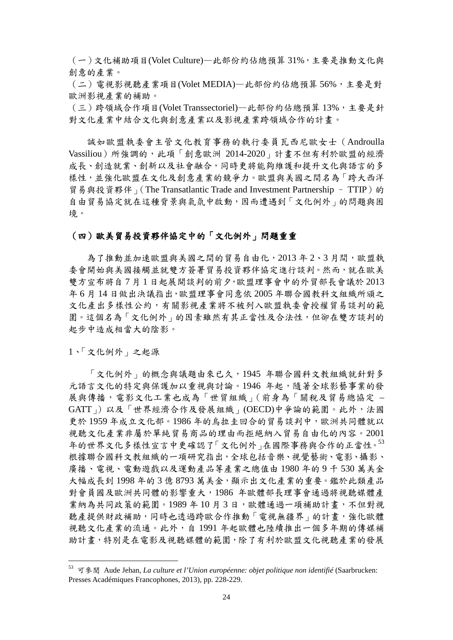(一)文化補助項目(Volet Culture)—此部份約佔總預算 31%,主要是推動文化與 創意的產業。

(二)電視影視聽產業項目(Volet MEDIA)—此部份約佔總預算56%,主要是對 歐洲影視產業的補助。

(三)跨領域合作項目(Volet Transsectoriel)—此部份約佔總預算13%,主要是針 對文化產業中結合文化與創意產業以及影視產業跨領域合作的計畫。

 誠如歐盟執委會主管文化教育事務的執行委員瓦西尼歐女士(Androulla Vassiliou)所強調的,此項「創意歐洲 2014-2020」計畫不但有利於歐盟的經濟 成長、創造就業、創新以及社會融合,同時更將能夠維護和提升文化與語言的多 樣性,並強化歐盟在文化及創意產業的競爭力。歐盟與美國之間名為「跨大西洋 貿易與投資夥伴」(The Transatlantic Trade and Investment Partnership - TTIP)的 自由貿易協定就在這種背景與氣氛中啟動,因而遭遇到「文化例外」的問題與困 境。

#### (四)歐美貿易投資夥伴協定中的「文化例外」問題重重

為了推動並加速歐盟與美國之間的貿易自由化,2013年2、3月間,歐盟執 委會開始與美國接觸並就雙方簽署貿易投資夥伴協定進行談判。然而,就在歐美 雙方宣布將自 7 月 1 日起展開談判的前夕,歐盟理事會中的外貿部長會議於 2013 年 6 月 14 日做出決議指出,歐盟理事會同意依 2005 年聯合國教科文組織所頒之 文化產出多樣性公約,有關影視產業將不被列入歐盟執委會授權貿易談判的範 圍。這個名為「文化例外」的因素雖然有其正當性及合法性,但卻在雙方談判的 起步中造成相當大的陰影。

1、「文化例外」之起源

「文化例外」的概念與議題由來已久,1945 年聯合國科文教組織就針對多 元語言文化的特定與保護加以重視與討論。1946 年起,隨著全球影藝事業的發 展與傳播, 雷影文化工業也成為「世貿組織」(前身為「關稅及貿易總協定 – GATT」)以及「世界經濟合作及發展組織」(OECD)中爭論的範圍。此外,法國 更於 1959 年成立文化部。1986 年的烏拉圭回合的貿易談判中,歐洲共同體就以 視聽文化產業非屬於單純貿易商品的理由而拒絕納入貿易自由化的內容。2001 年的世界文化多樣性宣言中更確認了「文化例外」在國際事務與合作的正當性。[53](#page-26-0) 根據聯合國科文教組織的一項研究指出,全球包括音樂、視覺藝術、電影、攝影、 廣播、電視、電動遊戲以及運動產品等產業之總值由 1980 年的 9 千 530 萬美金 大幅成長到 1998 年的 3 億 8793 萬美金,顯示出文化產業的重要。鑑於此類產品 對會員國及歐洲共同體的影響重大,1986 年歐體部長理事會通過將視聽媒體產 業納為共同政策的範圍。1989 年 10 月 3 日,歐體通過一項補助計畫,不但對視 聽產提供財政補助,同時也透過跨歐合作推動「電視無疆界」的計畫,強化歐體 視聽文化產業的流通。此外,自 1991 年起歐體也陸續推出一個多年期的傳媒補 助計畫,特別是在電影及視聽媒體的範圍,除了有利於歐盟文化視聽產業的發展

<span id="page-26-0"></span> <sup>53</sup> 可參閱 Aude Jehan, *La culture et l'Union européenne: objet politique non identifié* (Saarbrucken: Presses Académiques Francophones, 2013), pp. 228-229.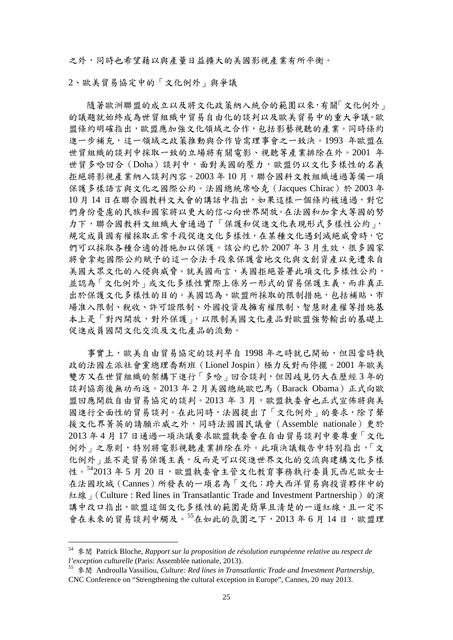之外,同時也希望藉以與產量日益擴大的美國影視產業有所平衡。

2、歐美貿易協定中的「文化例外」與爭議

隨著歐洲聯盟的成立以及將文化政策納入統合的範圍以來,有關「文化例外」 的議題就始終成為世貿組織中貿易自由化的談判以及歐美貿易中的重大爭議。歐 盟條約明確指出,歐盟應加強文化領域之合作,包括影藝視聽的產業。同時條約 進一步補充,這一領域之政策推動與合作皆需理事會之一致決。1993年歐盟在 世貿組織的談判中採取一致的立場將有關電影、視聽等產業排除在外。2001 年 世貿多哈回合(Doha)談判中,面對美國的壓力,歐盟仍以文化多樣性的名義 拒絕將影視產業納入談判內容。2003 年 10 月,聯合國科文教組織通過籌備一項 保護多樣語言與文化之國際公約。法國總統席哈克(Jacques Chirac)於 2003 年 10 月 14 日在聯合國教科文大會的講話中指出,如果這樣一個條約被通過,對它 們身份憂慮的民族和國家將以更大的信心向世界開放。在法國和加拿大等國的努 力下,聯合國教科文組織大會通過了「保護和促進文化表現形式多樣性公約」, 規定成員國有權採取正常手段促進文化多樣性,在某種文化遇到滅絕威脅時,它 們可以採取各種合適的措施加以保護。該公約已於 2007年3月生效,很多國家 將會拿起國際公約賦予的這一合法手段來保護當地文化與文創資產以免遭來自 美國大眾文化的入侵與威脅。就美國而言,美國拒絕簽署此項文化多樣性公約, 並認為「文化例外」或文化多樣性實際上係另一形式的貿易保護主義,而非真正 出於保護文化多樣性的目的。美國認為,歐盟所採取的限制措施,包括補貼、市 場准入限制、稅收、許可證限制、外國投資及擁有權限制、智慧財產權等措施基 本上是「對內開放,對外保護」,以限制美國文化產品對歐盟強勢輸出的基礎上 促進成員國間文化交流及文化產品的流動。

事實上,歐美自由貿易協定的談判早自1998年之時就已開始,但因當時執 政的法國左派社會黨總理喬斯班(Lionel Jospin)極力反對而停擺。2001 年歐美 雙方又在世貿組織的架構下進行「多哈」回合談判,但因歧見仍大在歷經3年的 談判協商後無功而返。2013年2月美國總統歐巴馬 (Barack Obama)正式向歐 盟回應開啟自由貿易協定的談判。2013年3月,歐盟執委會也正式宣佈將與美 國進行全面性的貿易談判。在此同時,法國提出了「文化例外」的要求,除了聲 援文化界菁英的請願示威之外,同時法國國民議會(Assemblé nationale)更於 2013 年 4 月 17 日通過一項決議要求歐盟執委會在自由貿易談判中要尊重「文化 例外」之原則,特別將電影視聽產業排除在外。此項決議報告中特別指出,「文 化例外」並不是貿易保護主義,反而是可以促進世界文化的交流與建構文化多樣 性。[542](#page-27-0)013年5月20日,歐盟執委會主管文化教育事務執行委員瓦西尼歐女士 在法國坎城(Cannes)所發表的一項名為「文化:跨大西洋貿易與投資夥伴中的 紅線」(Culture: Red lines in Transatlantic Trade and Investment Partnership)的演 講中改口指出,歐盟這個文化多樣性的範圍是簡單且清楚的一道紅線,且一定不 會在未來的貿易談判中觸及。<sup>[55](#page-27-1)</sup>在如此的氛圍之下, 2013年6月14日,歐盟理

<span id="page-27-0"></span> <sup>54</sup> 參閱 Patrick Bloche, *Rapport sur la proposition de résolution européenne relative au respect de l'exception culturelle* (Paris: Assemblée nationale, 2013).

<span id="page-27-1"></span><sup>55</sup> 參閱 Androulla Vassiliou, *Culture: Red lines in Transatlantic Trade and Investment Partnership,*  CNC Conference on "Strengthening the cultural exception in Europe", Cannes, 20 may 2013.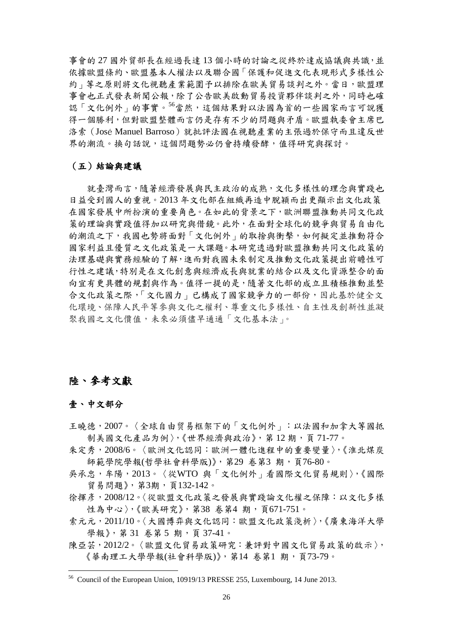事會的 27 國外貿部長在經過長達 13 個小時的討論之從終於達成協議與共識,並 依據歐盟條約、歐盟基本人權法以及聯合國「保護和促進文化表現形式多樣性公 約」等之原則將文化視聽產業範圍予以排除在歐美貿易談判之外。當日,歐盟理 事會也正式發表新聞公報,除了公告歐美啟動貿易投資夥伴談判之外,同時也確 認「文化例外」的事實。[56](#page-28-0)當然,這個結果對以法國為首的一些國家而言可說獲 得一個勝利,但對歐盟整體而言仍是存有不少的問題與矛盾。歐盟執委會主席巴 洛索(José Manuel Barroso)就批評法國在視聽產業的主張過於保守而且違反世 界的潮流。換句話說,這個問題勢必仍會持續發酵,值得研究與探討。

#### (五)結論與建議

就臺灣而言,隨著經濟發展與民主政治的成熟,文化多樣性的理念與實踐也 日益受到國人的重視。2013 年文化部在組織再造中脫穎而出更顯示出文化政策 在國家發展中所扮演的重要角色。在如此的背景之下,歐洲聯盟推動共同文化政 策的理論與實踐值得加以研究與借鏡。此外,在面對全球化的競爭與貿易自由化 的潮流之下,我國也勢將面對「文化例外」的取捨與衝擊,如何擬定並推動符合 國家利益且優質之文化政策是一大課題。本研究透過對歐盟推動共同文化政策的 法理基礎與實務經驗的了解,進而對我國未來制定及推動文化政策提出前瞻性可 行性之建議,特別是在文化創意與經濟成長與就業的結合以及文化資源整合的面 向宜有更具體的規劃與作為。值得一提的是,隨著文化部的成立且積極推動並整 合文化政策之際,「文化國力」已構成了國家競爭力的一部份,因此基於健全文 化環境、保障人民平等參與文化之權利、尊重文化多樣性、自主性及創新性並凝 聚我國之文化價值,未來必須儘早通通「文化基本法」。

## 陸、參考文獻

#### 壹、中文部分

- 王曉德,2007。〈全球自由贸易框架下的「文化例外」:以法國和加拿大等國抵 制美國文化產品为例〉,《世界經濟與政治》,第12期,頁71-77。
- 朱定秀,2008/6。〈歐洲文化認同:歐洲一體化進程中的重要變量〉,《淮北煤炭 師範學院學報(哲學社會科學版)》,第29 卷第3期,頁76-80。
- 吳承忠,牟陽,2013。〈從WTO 與「文化例外」看國際文化貿易規則〉,《國際 貿易問題》,第3期,頁132-142。
- 徐揮彥, 2008/12。〈從歐盟文化政策之發展與實踐論文化權之保障: 以文化多樣 性為中心〉,《歐美研究》,第38 卷第4 期,頁671-751。
- 索元元,2011/10。〈大國博弈與文化認同:歐盟文化政策淺析〉,《廣東海洋大學 學報》,第31 卷第5期,頁37-41。
- 陳亞芸, 2012/2。〈歐盟文化貿易政策研究: 兼評對中國文化貿易政策的啟示〉, 《華南理工大學學報(社會科學版)》,第14 卷第1 期,頁73-79。

<span id="page-28-0"></span> <sup>56</sup> Council of the European Union, 10919/13 PRESSE 255, Luxembourg, 14 June 2013.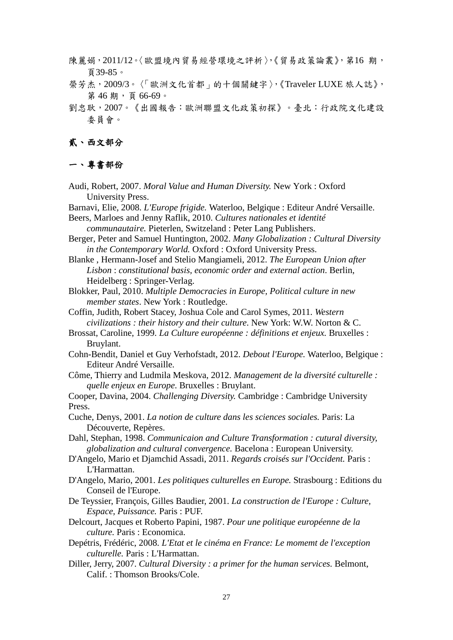- 陳麗娟, 2011/12。〈歐盟境內貿易經營環境之評析〉,《貿易政策論叢》, 第16期, 頁39-85。
- 榮芳杰,2009/3。〈「歐洲文化首都」的十個關鍵字〉,《Traveler LUXE 旅人誌》, 第46期,頁66-69。
- 劉忠耿,2007。《出國報告:歐洲聯盟文化政策初探》。臺北:行政院文化建設 委員會。

#### 貳、西文部分

#### 一、專書部份

- Audi, Robert, 2007. *Moral Value and Human Diversity.* New York : Oxford University Press.
- Barnavi, Elie, 2008. *L'Europe frigide.* Waterloo, Belgique : Editeur André Versaille.

Beers, Marloes and Jenny Raflik, 2010. *Cultures nationales et identité communautaire.* Pieterlen, Switzeland : Peter Lang Publishers.

- Berger, Peter and Samuel Huntington, 2002. *Many Globalization : Cultural Diversity in the Contemporary World.* Oxford : Oxford University Press.
- Blanke , Hermann-Josef and Stelio Mangiameli, 2012. *The European Union after Lisbon* : *constitutional basis, economic order and external action*. Berlin, Heidelberg : Springer-Verlag.
- Blokker, Paul, 2010. *Multiple Democracies in Europe, Political culture in new member states*. New York : Routledge.
- Coffin, Judith, Robert Stacey, Joshua Cole and Carol Symes, 2011. *Western civilizations : their history and their culture*. New York: W.W. Norton & C.
- Brossat, Caroline, 1999. *La Culture européenne : définitions et enjeux.* Bruxelles : Bruylant.
- Cohn-Bendit, Daniel et Guy Verhofstadt, 2012. *Debout l'Europe.* Waterloo, Belgique : Editeur André Versaille.
- Côme, Thierry and Ludmila Meskova, 2012. *Management de la diversité culturelle : quelle enjeux en Europe*. Bruxelles : Bruylant.

Cooper, Davina, 2004. *Challenging Diversity.* Cambridge : Cambridge University Press.

Cuche, Denys, 2001. *La notion de culture dans les sciences sociales.* Paris: La Découverte, Repères.

Dahl, Stephan, 1998. *Communicaion and Culture Transformation : cutural diversity, globalization and cultural convergence.* Bacelona : European University.

- D'Angelo, Mario et Djamchid Assadi, 2011. *Regards croisés sur l'Occident.* Paris : L'Harmattan.
- D'Angelo, Mario, 2001. *Les politiques culturelles en Europe.* Strasbourg : Editions du Conseil de l'Europe.
- De Teyssier, François, Gilles Baudier, 2001. *La construction de l'Europe : Culture, Espace, Puissance.* Paris : PUF.
- Delcourt, Jacques et Roberto Papini, 1987. *Pour une politique européenne de la culture.* Paris : Economica.
- Depétris, Frédéric, 2008. *L'Etat et le cinéma en France: Le momemt de l'exception culturelle.* Paris : L'Harmattan.
- Diller, Jerry, 2007. *Cultural Diversity : a primer for the human services.* Belmont, Calif. : Thomson Brooks/Cole.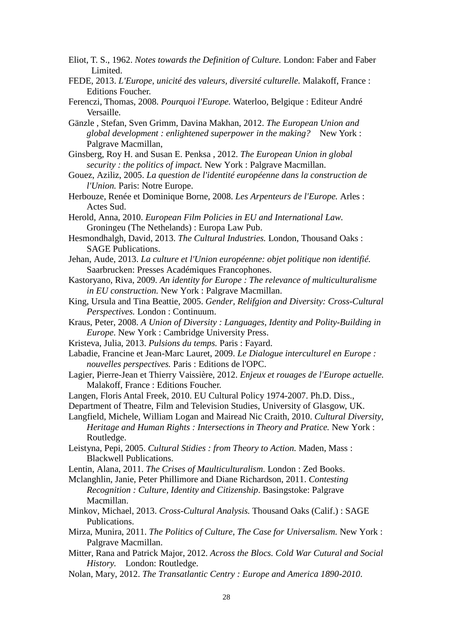- Eliot, T. S., 1962. *Notes towards the Definition of Culture.* London: Faber and Faber Limited.
- FEDE, 2013. *L'Europe, unicité des valeurs, diversité culturelle.* Malakoff, France : Editions Foucher.
- Ferenczi, Thomas, 2008. *Pourquoi l'Europe.* Waterloo, Belgique : Editeur André Versaille.
- Gänzle , Stefan, Sven Grimm, Davina Makhan, 2012. *The European Union and global development : enlightened superpower in the making?* New York : Palgrave Macmillan,
- Ginsberg, Roy H. and Susan E. Penksa , 2012. *The European Union in global security : the politics of impact.* New York : Palgrave Macmillan.
- Gouez, Aziliz, 2005. *La question de l'identité européenne dans la construction de l'Union.* Paris: Notre Europe.
- Herbouze, Renée et Dominique Borne, 2008. *Les Arpenteurs de l'Europe.* Arles : Actes Sud.
- Herold, Anna, 2010. *European Film Policies in EU and International Law.* Groningeu (The Nethelands) : Europa Law Pub.
- Hesmondhalgh, David, 2013. *The Cultural Industries.* London, Thousand Oaks : SAGE Publications.
- Jehan, Aude, 2013. *La culture et l'Union européenne: objet politique non identifié.* Saarbrucken: Presses Académiques Francophones.
- Kastoryano, Riva, 2009. *An identity for Europe : The relevance of multiculturalisme in EU construction.* New York : Palgrave Macmillan.
- King, Ursula and Tina Beattie, 2005. *Gender, Relifgion and Diversity: Cross-Cultural Perspectives.* London : Continuum.
- Kraus, Peter, 2008. *A Union of Diversity : Languages, Identity and Polity-Building in Europe*. New York : Cambridge University Press.
- Kristeva, Julia, 2013. *Pulsions du temps.* Paris : Fayard.
- Labadie, Francine et Jean-Marc Lauret, 2009. *Le Dialogue interculturel en Europe : nouvelles perspectives.* Paris : Editions de l'OPC.
- Lagier, Pierre-Jean et Thierry Vaissière, 2012. *Enjeux et rouages de l'Europe actuelle.* Malakoff, France : Editions Foucher.
- Langen, Floris Antal Freek, 2010. EU Cultural Policy 1974-2007. Ph.D. Diss.,
- Department of Theatre, Film and Television Studies, University of Glasgow, UK.
- Langfield, Michele, William Logan and Mairead Nic Craith, 2010. *Cultural Diversity, Heritage and Human Rights : Intersections in Theory and Pratice.* New York : Routledge.
- Leistyna, Pepi, 2005. *Cultural Stidies : from Theory to Action.* Maden, Mass : Blackwell Publications.
- Lentin, Alana, 2011. *The Crises of Maulticulturalism*. London : Zed Books.
- Mclanghlin, Janie, Peter Phillimore and Diane Richardson, 2011. *Contesting Recognition : Culture, Identity and Citizenship*. Basingstoke: Palgrave Macmillan.
- Minkov, Michael, 2013. *Cross-Cultural Analysis.* Thousand Oaks (Calif.) : SAGE Publications.
- Mirza, Munira, 2011. *The Politics of Culture, The Case for Universalism.* New York : Palgrave Macmillan.
- Mitter, Rana and Patrick Major, 2012. *Across the Blocs. Cold War Cutural and Social History.* London: Routledge.
- Nolan, Mary, 2012. *The Transatlantic Centry : Europe and America 1890-2010*.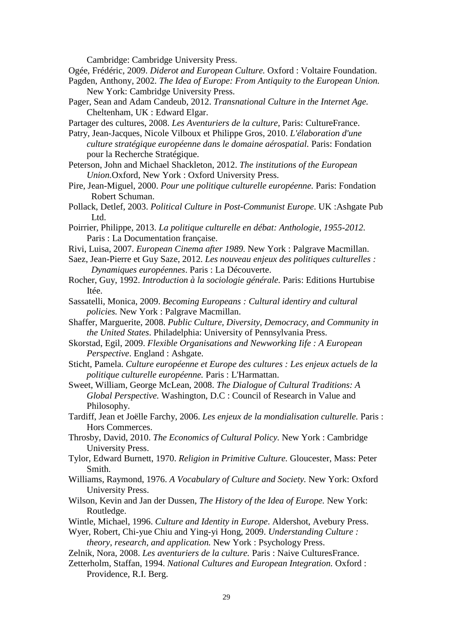Cambridge: Cambridge University Press.

- Ogée, Frédéric, 2009. *Diderot and European Culture.* Oxford : Voltaire Foundation.
- Pagden, Anthony, 2002. *The Idea of Europe: From Antiquity to the European Union.*  **New York: Cambridge University Press.**
- Pager, Sean and Adam Candeub, 2012. *Transnational Culture in the Internet Age.* Cheltenham, UK : Edward Elgar.

Partager des cultures, 2008. *Les Aventuriers de la culture,* Paris: CultureFrance.

- Patry, Jean-Jacques, Nicole Vilboux et Philippe Gros, 2010. *L'élaboration d'une culture stratégique européenne dans le domaine aérospatial.* Paris: Fondation pour la Recherche Stratégique.
- Peterson, John and Michael Shackleton, 2012. *The institutions of the European Union.*Oxford, New York : Oxford University Press.
- Pire, Jean-Miguel, 2000. *Pour une politique culturelle européenne.* Paris: Fondation Robert Schuman.
- Pollack, Detlef, 2003. *Political Culture in Post-Communist Europe*. UK :Ashgate Pub Ltd.
- Poirrier, Philippe, 2013. *La politique culturelle en débat: Anthologie, 1955-2012.* Paris : La Documentation française.
- Rivi, Luisa, 2007. *European Cinema after 1989.* New York : Palgrave Macmillan.
- Saez, Jean-Pierre et Guy Saze, 2012. *Les nouveau enjeux des politiques culturelles : Dynamiques européennes*. Paris : La Découverte.
- Rocher, Guy, 1992. *Introduction à la sociologie générale.* Paris: Editions Hurtubise Itée.
- Sassatelli, Monica, 2009. *Becoming Europeans : Cultural identiry and cultural policies.* New York : Palgrave Macmillan.
- Shaffer, Marguerite, 2008. *Public Culture, Diversity, Democracy, and Community in the United States*. Philadelphia: University of Pennsylvania Press.
- Skorstad, Egil, 2009. *Flexible Organisations and Newworking Iife : A European Perspective*. England : Ashgate.
- Sticht, Pamela. *Culture européenne et Europe des cultures : Les enjeux actuels de la politique culturelle européenne.* Paris : L'Harmattan.
- Sweet, William, George McLean, 2008. *The Dialogue of Cultural Traditions: A Global Perspective.* Washington, D.C : Council of Research in Value and Philosophy.
- Tardiff, Jean et Joëlle Farchy, 2006. *Les enjeux de la mondialisation culturelle.* Paris : Hors Commerces.
- Throsby, David, 2010. *The Economics of Cultural Policy.* New York : Cambridge University Press.
- Tylor, Edward Burnett, 1970. *Religion in Primitive Culture.* Gloucester, Mass: Peter Smith.
- Williams, Raymond, 1976. *A Vocabulary of Culture and Society.* New York: Oxford University Press.
- Wilson, Kevin and Jan der Dussen, *The History of the Idea of Europe.* New York: Routledge.
- Wintle, Michael, 1996. *Culture and Identity in Europe*. Aldershot, Avebury Press.
- Wyer, Robert, Chi-yue Chiu and Ying-yi Hong, 2009. *Understanding Culture : theory, research, and application.* New York : Psychology Press.
- Zelnik, Nora, 2008. *Les aventuriers de la culture.* Paris : Naive CulturesFrance.
- Zetterholm, Staffan, 1994. *National Cultures and European Integration.* Oxford : Providence, R.I. Berg.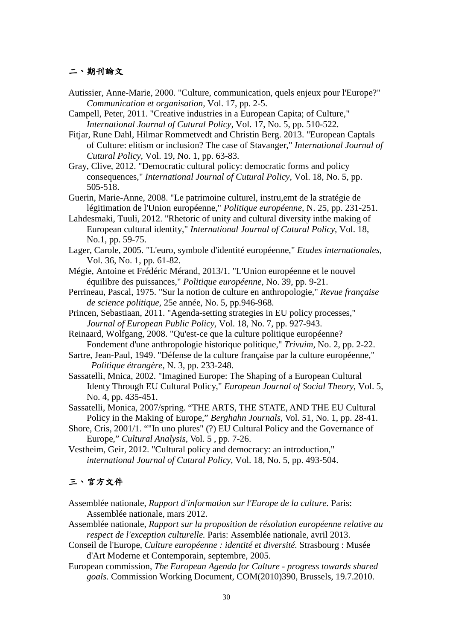#### 二、期刊論文

Autissier, Anne-Marie, 2000. "Culture, communication, quels enjeux pour l'Europe?" *Communication et organisation,* Vol. 17, pp. 2-5.

Campell, Peter, 2011. "Creative industries in a European Capita; of Culture," *International Journal of Cutural Policy,* Vol. 17, No. 5, pp. 510-522.

Fitjar, Rune Dahl, Hilmar Rommetvedt and Christin Berg. 2013. "European Captals of Culture: elitism or inclusion? The case of Stavanger," *International Journal of Cutural Policy,* Vol. 19, No. 1, pp. 63-83.

Gray, Clive, 2012. "Democratic cultural policy: democratic forms and policy consequences," *International Journal of Cutural Policy,* Vol. 18, No. 5, pp. 505-518.

Guerin, Marie-Anne, 2008. "Le patrimoine culturel, instru,emt de la stratégie de légitimation de l'Union européenne," *Politique européenne,* N. 25, pp. 231-251.

Lahdesmaki, Tuuli, 2012. "Rhetoric of unity and cultural diversity inthe making of European cultural identity," *International Journal of Cutural Policy,* Vol. 18, No.1, pp. 59-75.

Lager, Carole, 2005. "L'euro, symbole d'identité européenne," *Etudes internationales,* Vol. 36, No. 1, pp. 61-82.

- Mégie, Antoine et Frédéric Mérand, 2013/1. "L'Union européenne et le nouvel équilibre des puissances," *Politique européenne,* No. 39, pp. 9-21.
- Perrineau, Pascal, 1975. "Sur la notion de culture en anthropologie," *Revue française de science politique,* 25e année, No. 5, pp.946-968.
- Princen, Sebastiaan, 2011. "Agenda-setting strategies in EU policy processes," *Journal of European Public Policy,* Vol. 18, No. 7, pp. 927-943.

Reinaard, Wolfgang, 2008. "Qu'est-ce que la culture politique européenne? Fondement d'une anthropologie historique politique," *Trivuim,* No. 2, pp. 2-22.

Sartre, Jean-Paul, 1949. "Défense de la culture française par la culture européenne," *Politique étrangère,* N. 3, pp. 233-248.

Sassatelli, Mnica, 2002. "Imagined Europe: The Shaping of a European Cultural Identy Through EU Cultural Policy," *European Journal of Social Theory,* Vol. 5, No. 4, pp. 435-451.

Sassatelli, Monica, 2007/spring. "THE ARTS, THE STATE, AND THE EU Cultural Policy in the Making of Europe," *Berghahn Journals*, Vol. 51, No. 1, pp. 28-41.

Shore, Cris, 2001/1. ""In uno plures" (?) EU Cultural Policy and the Governance of Europe," *Cultural Analysis*, Vol. 5 , pp. 7-26.

Vestheim, Geir, 2012. "Cultural policy and democracy: an introduction," *international Journal of Cutural Policy,* Vol. 18, No. 5, pp. 493-504.

## 三、官方文件

Assemblée nationale, *Rapport d'information sur l'Europe de la culture.* Paris: Assemblée nationale, mars 2012.

Assemblée nationale, *Rapport sur la proposition de résolution européenne relative au respect de l'exception culturelle.* Paris: Assemblée nationale, avril 2013.

- Conseil de l'Europe, *Culture européenne : identité et diversité.* Strasbourg : Musée d'Art Moderne et Contemporain, septembre, 2005.
- European commission, *The European Agenda for Culture - progress towards shared goals.* Commission Working Document, COM(2010)390, Brussels, 19.7.2010.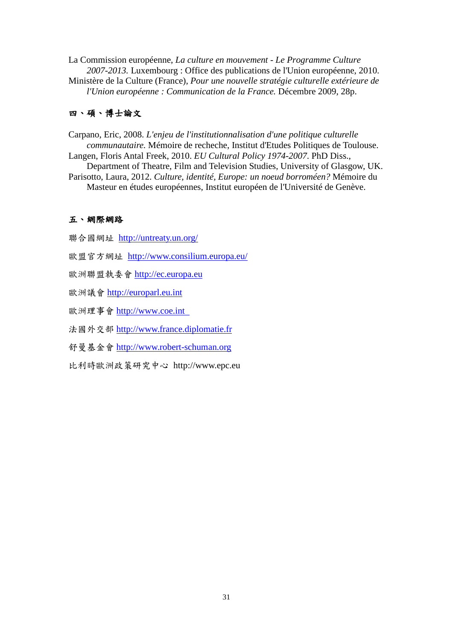La Commission européenne, *La culture en mouvement - Le Programme Culture 2007-2013.* Luxembourg : Office des publications de l'Union européenne, 2010. Ministère de la Culture (France), *Pour une nouvelle stratégie culturelle extérieure de l'Union européenne : Communication de la France.* Décembre 2009, 28p.

## 四、碩、博士論文

Carpano, Eric, 2008. *L'enjeu de l'institutionnalisation d'une politique culturelle communautaire.* Mémoire de recheche, Institut d'Etudes Politiques de Toulouse. Langen, Floris Antal Freek, 2010. *EU Cultural Policy 1974-2007*. PhD Diss.,

 Department of Theatre, Film and Television Studies, University of Glasgow, UK. Parisotto, Laura, 2012. *Culture, identité, Europe: un noeud borroméen?* Mémoire du Masteur en études européennes, Institut européen de l'Université de Genève.

### 五、網際網路

聯合國網址 <http://untreaty.un.org/>

- 歐盟官方網址 <http://www.consilium.europa.eu/>
- 歐洲聯盟執委會 [http://ec.europa.eu](http://ec.europa.eu/)

歐洲議會 [http://europarl.eu.int](http://europarl.eu.int/)

歐洲理事會 [http://www.coe.int](http://europarl.eu.int/) 

法國外交部 [http://www.france.diplomatie.fr](http://www.france.diplomatie.fr/)

舒曼基金會 [http://www.robert-schuman.org](http://www.robert-schuman.org/)

比利時歐洲政策研究中心 http://www.epc.eu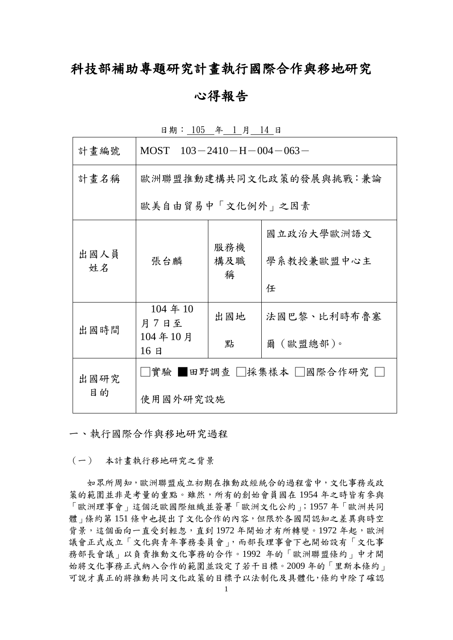## 科技部補助專題研究計畫執行國際合作與移地研究

## 心得報告

| 計畫編號       | MOST $103 - 2410 - H - 004 - 063 -$ |                 |                          |  |  |
|------------|-------------------------------------|-----------------|--------------------------|--|--|
| 計畫名稱       | 歐洲聯盟推動建構共同文化政策的發展與挑戰:兼論             |                 |                          |  |  |
|            | 歐美自由貿易中「文化例外」之因素                    |                 |                          |  |  |
| 出國人員<br>姓名 | 張台麟                                 | 服務機<br>構及職<br>稱 | 國立政治大學歐洲語文<br>學系教授兼歐盟中心主 |  |  |
|            |                                     |                 | 任                        |  |  |
| 出國時間       | 104 年 10<br>月7日至                    | 出國地             | 法國巴黎、比利時布魯塞              |  |  |
|            | 104年10月<br>16E                      | 點               | 爾(歐盟總部)。                 |  |  |
| 出國研究       | │實驗 ▌田野調查│  採集樣本│  國際合作研究           |                 |                          |  |  |
| 目的         | 使用國外研究設施                            |                 |                          |  |  |

日期: 105 年 1 月 14 日

一、執行國際合作與移地研究過程

(一) 本計畫執行移地研究之背景

 如眾所周知,歐洲聯盟成立初期在推動政經統合的過程當中,文化事務或政 策的範圍並非是考量的重點。雖然,所有的創始會員國在 1954 年之時皆有參與 「歐洲理事會」這個泛歐國際組織並簽署「歐洲文化公約」;1957 年「歐洲共同 體」條約第 151 條中也提出了文化合作的內容,但限於各國間認知之差異與時空 背景,這個面向一直受到輕忽,直到1972年開始才有所轉變。1972年起,歐洲 議會正式成立「文化與青年事務委員會」,而部長理事會下也開始設有「文化事 務部長會議」以負責推動文化事務的合作。1992 年的「歐洲聯盟條約」中才開 始將文化事務正式納入合作的範圍並設定了若干目標。2009 年的「里斯本條約」 可說才真正的將推動共同文化政策的目標予以法制化及具體化,條約中除了確認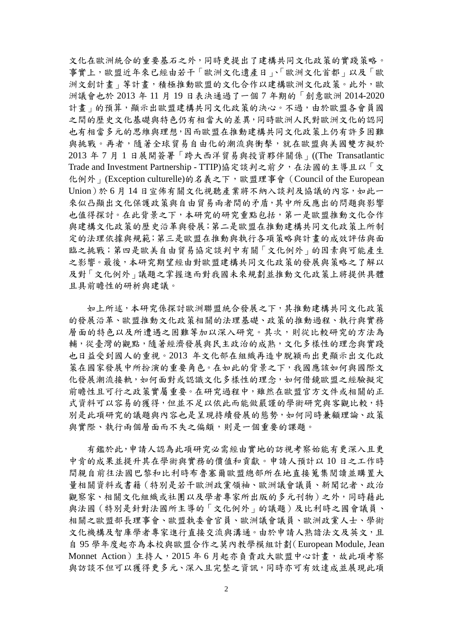文化在歐洲統合的重要基石之外,同時更提出了建構共同文化政策的實踐策略。 事實上,歐盟近年來已經由若干「歐洲文化遺產日」、「歐洲文化首都」以及「歐 洲文創計畫,等計畫,積極推動歐盟的文化合作以建構歐洲文化政策。此外,歐 洲議會也於 2013 年 11 月 19 日表決通過了一個 7 年期的「創意歐洲 2014-2020 計畫,的預算,顯示出歐盟建構共同文化政策的決心。不過,由於歐盟各會員國 之間的歷史文化基礎與特色仍有相當大的差異,同時歐洲人民對歐洲文化的認同 也有相當多元的思維與理想,因而歐盟在推動建構共同文化政策上仍有許多困難 與挑戰。再者,隨著全球貿易自由化的潮流與衝擊,就在歐盟與美國雙方擬於 2013 年 7 月 1 日展開簽署「跨大西洋貿易與投資夥伴關係」((The Transatlantic Trade and Investment Partnership - TTIP)協定談判之前夕,在法國的主導且以「文 化例外 | (Exception culturelle)的名義之下,歐盟理事會 (Council of the European Union)於 6 月 14 日宣佈有關文化視聽產業將不納入談判及協議的內容,如此一 來似凸顯出文化保護政策與自由貿易兩者間的矛盾,其中所反應出的問題與影響 也值得探討。在此背景之下,本研究的研究重點包括,第一是歐盟推動文化合作 與建構文化政策的歷史沿革與發展;第二是歐盟在推動建構共同文化政策上所制 定的法理依據與規範;第三是歐盟在推動與執行各項策略與計畫的成效評估與面 臨之挑戰;第四是歐美自由貿易協定談判中有關「文化例外」的因素與可能產生 之影響。最後,本研究期望經由對歐盟建構共同文化政策的發展與策略之了解以 及對「文化例外」議題之掌握進而對我國未來規劃並推動文化政策上將提供具體 且具前瞻性的研析與建議。

如上所述,本研究係探討歐洲聯盟統合發展之下,其推動建構共同文化政策 的發展沿革、歐盟推動文化政策相關的法理基礎、政策的推動過程、執行與實務 層面的特色以及所遭遇之困難等加以深入研究。其次,則從比較研究的方法為 輔,從臺灣的觀點,隨著經濟發展與民主政治的成熟,文化多樣性的理念與實踐 也日益受到國人的重視。2013 年文化部在組織再造中脫穎而出更顯示出文化政 策在國家發展中所扮演的重要角色。在如此的背景之下,我國應該如何與國際文 化發展潮流接軌,如何面對或認識文化多樣性的理念,如何借鏡歐盟之經驗擬定 前瞻性且可行之政策實屬重要。在研究過程中,雖然在歐盟官方文件或相關的正 式資料可以容易的獲得,但並不足以依此而能做嚴謹的學術研究與客觀比較,特 別是此項研究的議題與內容也是呈現持續發展的態勢,如何同時兼顧理論、政策 與實際、執行兩個層面而不失之偏頗,則是一個重要的課題。

有鑑於此,申請人認為此項研究必需經由實地的訪視考察始能有更深入且更 中肯的成果並提升其在學術與實務的價值和貢獻。申請人預計以 10 日之工作時 間親自前往法國巴黎和比利時布魯塞爾歐盟總部所在地直接蒐集閱讀並購置大 量相關資料或書籍(特別是若干歐洲政黨領袖、歐洲議會議員、新聞記者、政治 觀察家、相關文化組織或社團以及學者專家所出版的多元刊物)之外,同時藉此 與法國(特別是針對法國所主導的「文化例外」的議題)及比利時之國會議員、 相關之歐盟部長理事會、歐盟執委會官員、歐洲議會議員、歐洲政黨人士、學術 文化機構及智庫學者專家進行直接交流與溝通。由於申請人熟諳法文及英文,且 自 95 學年度起亦為本校與歐盟合作之莫內教學模組計劃(European Module, Jean Monnet Action) 主持人, 2015 年 6 月起亦負責政大歐盟中心計書, 故此項考察 與訪談不但可以獲得更多元、深入且完整之資訊,同時亦可有效達成並展現此項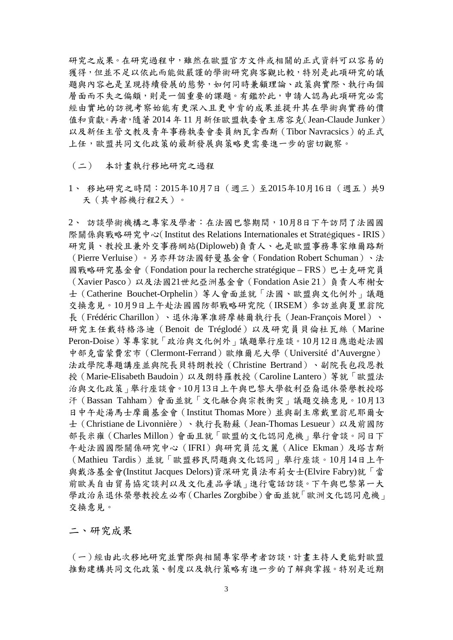研究之成果。在研究過程中,雖然在歐盟官方文件或相關的正式資料可以容易的 獲得,但並不足以依此而能做嚴謹的學術研究與客觀比較,特別是此項研究的議 題與內容也是呈現持續發展的態勢,如何同時兼顧理論、政策與實際、執行兩個 層面而不失之偏頗,則是一個重要的課題。有鑑於此,申請人認為此項研究必需 經由實地的訪視考察始能有更深入且更中肯的成果並提升其在學術與實務的價 值和貢獻。再者,隨著 2014 年 11 月新任歐盟執委會主席容克(Jean-Claude Junker) 以及新任主管文教及青年事務執委會委員納瓦拿西斯(Tibor Navracsics)的正式 上任,歐盟共同文化政策的最新發展與策略更需要進一步的密切觀察。

(二) 本計畫執行移地研究之過程

1、 移地研究之時間:2015年10月7日(週三)至2015年10月16日(週五)共9 天(其中搭機行程2天)。

2、 訪談學術機構之專家及學者:在法國巴黎期間,10月8日下午訪問了法國國 際關係與戰略研究中心(Institut des Relations Internationales et Stratégiques - IRIS) 研究員、教授且兼外交事務網站(Diploweb)負責人、也是歐盟事務專家維爾路斯 (Pierre Verluise)。另亦拜訪法國舒曼基金會(Fondation Robert Schuman)、法 國戰略研究基金會(Fondation pour la recherche stratégique – FRS)巴士克研究員 (Xavier Pasco)以及法國21世紀亞洲基金會(Fondation Asie 21)負責人布榭女 士(Catherine Bouchet-Orphelin)等人會面並就「法國、歐盟與文化例外」議題 交換意見。10月9日上午赴法國國防部戰略研究院(IRSEM)參訪並與夏里翁院 長(Frédéric Charillon)、退休海軍准將摩赫爾執行長(Jean-François Morel)、 研究主任戴特格洛迪(Benoit de Tréglodé)以及研究員貝倫杜瓦絲(Marine Peron-Doise)等專家就「政治與文化例外」議題舉行座談。10月12日應邀赴法國 中部克雷蒙費宏市(Clermont-Ferrand)歐維爾尼大學(Université d'Auvergne) 法政學院專題講座並與院長貝特朗教授(Christine Bertrand)、副院長包段恩教 授(Marie-Elisabeth Baudoin)以及朗特羅教授(Caroline Lantero)等就「歐盟法 治與文化政策」舉行座談會。10月13日上午與巴黎大學敘利亞裔退休榮譽教授塔 汗(Bassan Tahham)會面並就「文化融合與宗教衝突」議題交換意見。10月13 日中午赴湯馬士摩爾基金會(Institut Thomas More)並與副主席戴里翁尼耶爾女 士(Christiane de Livonnière)、執行長勒蘇(Jean-Thomas Lesueur)以及前國防 部長米雍(Charles Millon)會面且就「歐盟的文化認同危機」舉行會談。同日下 午赴法國國際關係研究中心(IFRI)與研究員范文麗(Alice Ekman)及塔吉斯 (Mathieu Tardis)並就「歐盟移民問題與文化認同」舉行座談。10月14日上午 與戴洛基金會(Institut Jacques Delors)資深研究員法布莉女士(Elvire Fabry)就「當 前歐美自由貿易協定談判以及文化產品爭議」進行電話訪談。下午與巴黎第一大 學政治系退休榮譽教授左必布(Charles Zorgbibe)會面並就「歐洲文化認同危機」 交換意見。

二、研究成果

(一)經由此次移地研究並實際與相關專家學考者訪談,計畫主持人更能對歐盟 推動建構共同文化政策、制度以及執行策略有進一步的了解與掌握。特別是近期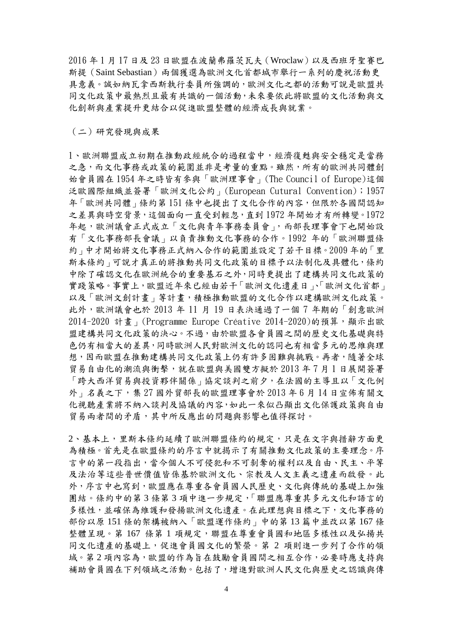2016 年 1 月 17 日及 23 日歐盟在波蘭弗羅茨瓦夫(Wroclaw)以及西班牙聖賽巴 斯提(Saint Sebastian)兩個獲選為歐洲文化首都城市舉行一系列的慶祝活動更 具意義。誠如納瓦拿西斯執行委員所強調的,歐洲文化之都的活動可說是歐盟共 同文化政策中最熱烈且最有共識的一個活動,未來要依此將歐盟的文化活動與文 化創新與產業提升更結合以促進歐盟整體的經濟成長與就業。

(二)研究發現與成果

1、歐洲聯盟成立初期在推動政經統合的過程當中,經濟復甦與安全穩定是當務 之急,而文化事務或政策的範圍並非是考量的重點。雖然,所有的歐洲共同體創 始會員國在 1954 年之時皆有參與「歐洲理事會」(The Council of Europe)這個 泛歐國際組織並簽署「歐洲文化公約」(European Cutural Convention);1957 年「歐洲共同體」條約第 151 條中也提出了文化合作的內容,但限於各國間認知 之差異與時空背景,這個面向一直受到輕忽,直到 1972 年開始才有所轉變。1972 年起,歐洲議會正式成立「文化與青年事務委員會」,而部長理事會下也開始設 有「文化事務部長會議」以負責推動文化事務的合作。1992 年的「歐洲聯盟條 約」中才開始將文化事務正式納入合作的範圍並設定了若干目標。2009 年的「里 斯本條約」可說才真正的將推動共同文化政策的目標予以法制化及具體化,條約 中除了確認文化在歐洲統合的重要基石之外,同時更提出了建構共同文化政策的 實踐策略。事實上,歐盟近年來已經由若干「歐洲文化遺產日」、「歐洲文化首都」 以及「歐洲文創計書」等計書,積極推動歐盟的文化合作以建構歐洲文化政策。 此外,歐洲議會也於 2013 年 11 月 19 日表決通過了一個 7 年期的「創意歐洲 2014-2020 計書」(Programme Europe Créative 2014-2020)的預算,顯示出歐 盟建構共同文化政策的決心。不過,由於歐盟各會員國之間的歷史文化基礎與特 色仍有相當大的差異,同時歐洲人民對歐洲文化的認同也有相當多元的思維與理 想,因而歐盟在推動建構共同文化政策上仍有許多困難與挑戰。再者,隨著全球 貿易自由化的潮流與衝擊,就在歐盟與美國雙方擬於 2013 年 7 月 1 日展開簽署 「跨大西洋貿易與投資夥伴關係」協定談判之前夕,在法國的主導且以「文化例 外 | 名義之下, 集 27 國外貿部長的歐盟理事會於 2013年6月14日宣佈有關文 化視聽產業將不納入談判及協議的內容,如此一來似凸顯出文化保護政策與自由 貿易兩者間的矛盾,其中所反應出的問題與影響也值得探討。

2、基本上,里斯本條約延續了歐洲聯盟條約的規定,只是在文字與措辭方面更 為積極。首先是在歐盟條約的序言中就揭示了有關推動文化政策的主要理念。序 言中的第一段指出,當今個人不可侵犯和不可剝奪的權利以及自由、民主、平等 及法治等這些普世價值皆係基於歐洲文化、宗教及人文主義之遺產而啟發。此 外,序言中也寫到,歐盟應在尊重各會員國人民歷史、文化與傳統的基礎上加強 團結。條約中的第 3 條第 3 項中進一步規定,「聯盟應尊重其多元文化和語言的 多樣性,並確保為維護和發揚歐洲文化遺產。在此理想與目標之下,文化事務的 部份以原 151 條的架構被納入「歐盟運作條約」中的第 13 篇中並改以第 167 條 整體呈現。第167 條第1項規定,聯盟在尊重會員國和地區多樣性以及弘揚共 同文化遺產的基礎上,促進會員國文化的繁榮。第 2 項則進一步列了合作的領 域。第2項內容為,歐盟的作為旨在鼓勵會員國間之相互合作,必要時應支持與 補助會員國在下列領域之活動。包括了,增進對歐洲人民文化與歷史之認識與傳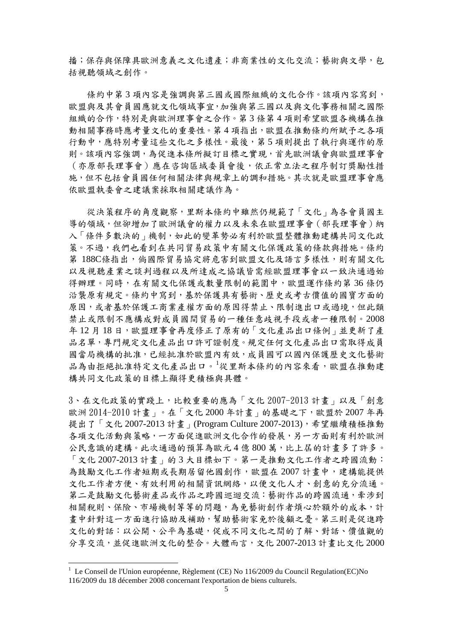播;保存與保障具歐洲意義之文化遺產;非商業性的文化交流;藝術與文學,包 括視聽領域之創作。

條約中第3項內容是強調與第三國或國際組織的文化合作。該項內容寫到, 歐盟與及其會員國應就文化領域事宜,加強與第三國以及與文化事務相關之國際 組織的合作,特別是與歐洲理事會之合作。第 3 條第 4 項則希望歐盟各機構在推 動相關事務時應考量文化的重要性。第 4 項指出,歐盟在推動條約所賦予之各項 行動中,應特別考量這些文化之多樣性。最後,第 5 項則提出了執行與運作的原 則。該項內容強調,為促進本條所擬訂目標之實現,首先歐洲議會與歐盟理事會 (亦原部長理事會)應在咨詢區域委員會後,依正常立法之程序制訂獎勵性措 施,但不包括會員國任何相關法律與規章上的調和措施。其次就是歐盟理事會應 依歐盟執委會之建議案採取相關建議作為。

 從決策程序的角度觀察,里斯本條約中雖然仍規範了「文化」為各會員國主 導的領域,但卻增加了歐洲議會的權力以及未來在歐盟理事會(部長理事會)納 入「條件多數決的」機制,如此的變革勢必有利於歐盟整體推動建構共同文化政 策。不過,我們也看到在共同貿易政策中有關文化保護政策的條款與措施。條約 第 188C條指出,倘國際貿易協定將危害到歐盟文化及語言多樣性,則有關文化 以及視聽產業之談判過程以及所達成之協議皆需經歐盟理事會以一致決通過始 得辦理。同時,在有關文化保護或數量限制的範圍中,歐盟運作條約第36條仍 沿襲原有規定。條約中寫到,基於保護具有藝術、歷史或考古價值的國寶方面的 原因,或者基於保護工商業產權方面的原因得禁止、限制進出口或過境,但此類 禁止或限制不應構成對成員國間貿易的一種任意歧視手段或者一種限制。2008 年 12 月 18 日,歐盟理事會再度修正了原有的「文化產品出口條例」並更新了產 品名單,專門規定文化產品出口許可證制度。規定任何文化產品出口需取得成員 國當局機構的批准,已經批准於歐盟內有效,成員國可以國內保護歷史文化藝術 品為由拒絕批准特定文化產品出口。[1](#page-38-0)從里斯本條約的內容來看,歐盟在推動建 構共同文化政策的目標上顯得更積極與具體。

3、在文化政策的實踐上,比較重要的應為「文化 2007-2013 計畫」以及「創意 歐洲 2014-2010 計畫」。在「文化 2000 年計畫」的基礎之下,歐盟於 2007 年再 提出了「文化 2007-2013 計畫」(Program Culture 2007-2013),希望繼續積極推動 各項文化活動與策略,一方面促進歐洲文化合作的發展,另一方面則有利於歐洲 公民意識的建構。此次通過的預算為歐元4億800萬,比上屆的計書多了許多。 「文化 2007-2013 計畫」的 3 大目標如下。第一是推動文化工作者之跨國流動: 為鼓勵文化工作者短期或長期居留他國創作,歐盟在 2007 計畫中,建構能提供 文化工作者方便、有效利用的相關資訊網絡,以便文化人才、創意的充分流通。 第二是鼓勵文化藝術產品或作品之跨國巡迴交流:藝術作品的跨國流通,牽涉到 相關稅則、保險、市場機制等等的問題,為免藝術創作者煩心於額外的成本,計 畫中針對這一方面進行協助及補助,幫助藝術家免於後顧之憂。第三則是促進跨 文化的對話:以公開、公平為基礎,促成不同文化之間的了解、對話、價值觀的 分享交流,並促進歐洲文化的整合。大體而言,文化 2007-2013 計畫比文化 2000

<span id="page-38-0"></span><sup>&</sup>lt;sup>1</sup> Le Conseil de l'Union européenne, Règlement (CE) No 116/2009 du Council Regulation(EC)No 116/2009 du 18 décember 2008 concernant l'exportation de biens culturels.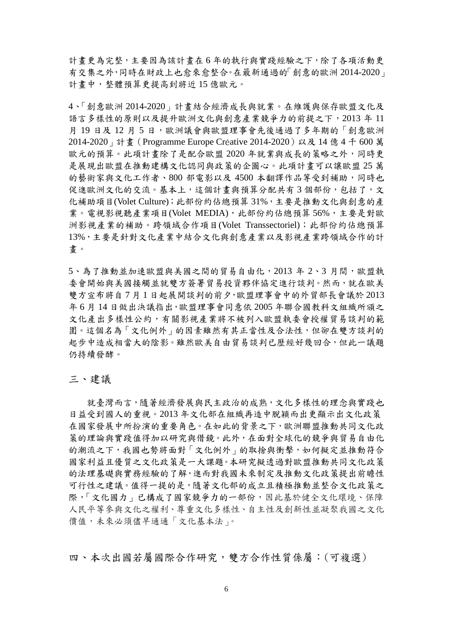計畫更為完整,主要因為該計畫在 6 年的執行與實踐經驗之下,除了各項活動更 有交集之外,同時在財政上也愈來愈整合。在最新通過的「創意的歐洲 2014-2020」 計畫中,整體預算更提高到將近 15 億歐元。

4、「創意歐洲 2014-2020」計畫結合經濟成長與就業。在維護與保存歐盟文化及 語言多樣性的原則以及提升歐洲文化與創意產業競爭力的前提之下,2013 年 11 月19日及12月5日,歐洲議會與歐盟理事會先後通過了多年期的「創意歐洲 2014-2020」計畫(Programme Europe Créative 2014-2020)以及 14 億 4 千 600 萬 歐元的預算。此項計畫除了是配合歐盟 2020 年就業與成長的策略之外,同時更 是展現出歐盟在推動建構文化認同與政策的企圖心。此項計畫可以讓歐盟 25 萬 的藝術家與文化工作者、800 部電影以及 4500 本翻譯作品等受到補助,同時也 促進歐洲文化的交流。基本上,這個計書與預算分配共有3個部份,包括了,文 化補助項目(Volet Culture);此部份約佔總預算 31%,主要是推動文化與創意的產 業。電視影視聽產業項目(Volet MEDIA),此部份約佔總預算56%,主要是對歐 洲影視產業的補助。跨領域合作項目(Volet Transsectoriel);此部份約佔總預算 13%,主要是針對文化產業中結合文化與創意產業以及影視產業跨領域合作的計 畫。

5、為了推動並加速歐盟與美國之間的貿易自由化,2013 年 2、3 月間,歐盟執 委會開始與美國接觸並就雙方簽署貿易投資夥伴協定進行談判。然而,就在歐美 雙方宣布將自 7 月 1 日起展開談判的前夕,歐盟理事會中的外貿部長會議於 2013 年 6 月 14 日做出決議指出,歐盟理事會同意依 2005 年聯合國教科文組織所頒之 文化產出多樣性公約,有關影視產業將不被列入歐盟執委會授權貿易談判的範 圍。這個名為「文化例外」的因素雖然有其正當性及合法性,但卻在雙方談判的 起步中造成相當大的陰影。雖然歐美自由貿易談判已歷經好幾回合,但此一議題 仍持續發酵。

三、建議

就臺灣而言,隨著經濟發展與民主政治的成熟,文化多樣性的理念與實踐也 日益受到國人的重視。2013 年文化部在組織再造中脫穎而出更顯示出文化政策 在國家發展中所扮演的重要角色。在如此的背景之下,歐洲聯盟推動共同文化政 策的理論與實踐值得加以研究與借鏡。此外,在面對全球化的競爭與貿易自由化 的潮流之下,我國也勢將面對「文化例外」的取捨與衝擊,如何擬定並推動符合 國家利益且優質之文化政策是一大課題。本研究擬透過對歐盟推動共同文化政策 的法理基礎與實務經驗的了解,進而對我國未來制定及推動文化政策提出前瞻性 可行性之建議。值得一提的是,隨著文化部的成立且積極推動並整合文化政策之 際,「文化國力」已構成了國家競爭力的一部份,因此基於健全文化環境、保障 人民平等參與文化之權利、尊重文化多樣性、自主性及創新性並凝聚我國之文化 價值,未來必須儘早通通「文化基本法」。

四、本次出國若屬國際合作研究,雙方合作性質係屬:(可複選)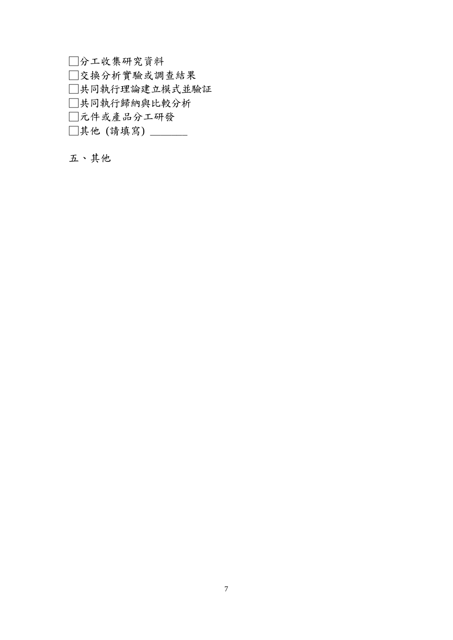□分工收集研究資料 □交換分析實驗或調查結果 □共同執行理論建立模式並驗証 □共同執行歸納與比較分析 □元件或產品分工研發 □其他 (請填寫) \_\_\_\_\_\_\_

五、其他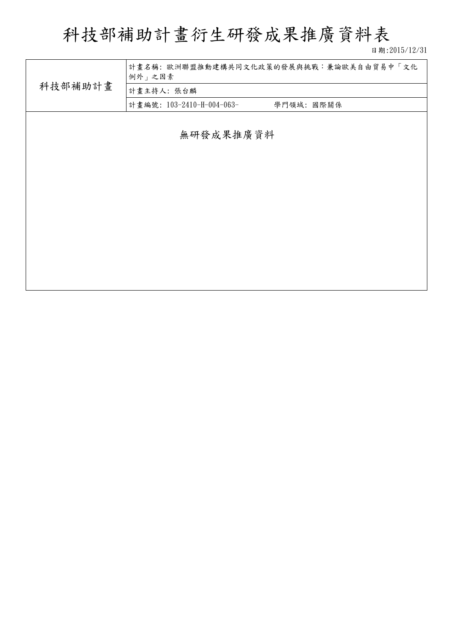科技部補助計畫衍生研發成果推廣資料表

日期:2015/12/31

|           | 計畫名稱:歐洲聯盟推動建構共同文化政策的發展與挑戰:兼論歐美自由貿易中「文化<br>例外」之因素 |  |  |  |  |  |
|-----------|--------------------------------------------------|--|--|--|--|--|
| 科技部補助計畫   | 計畫主持人:張台麟                                        |  |  |  |  |  |
|           | 計畫編號: 103-2410-H-004-063-<br>學門領域: 國際關係          |  |  |  |  |  |
|           |                                                  |  |  |  |  |  |
| 無研發成果推廣資料 |                                                  |  |  |  |  |  |
|           |                                                  |  |  |  |  |  |
|           |                                                  |  |  |  |  |  |
|           |                                                  |  |  |  |  |  |
|           |                                                  |  |  |  |  |  |
|           |                                                  |  |  |  |  |  |
|           |                                                  |  |  |  |  |  |
|           |                                                  |  |  |  |  |  |
|           |                                                  |  |  |  |  |  |
|           |                                                  |  |  |  |  |  |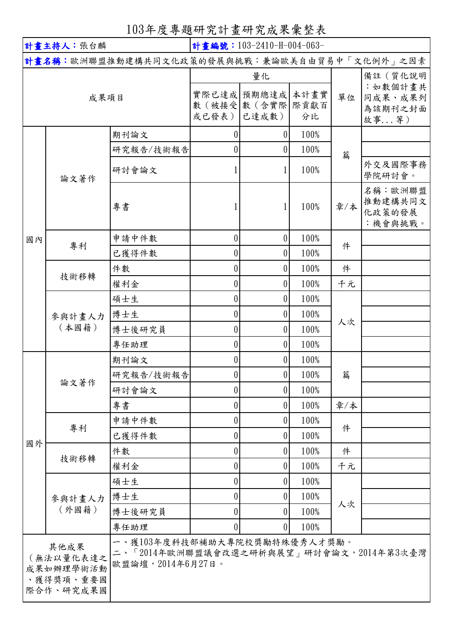103年度專題研究計畫研究成果彙整表

| 計畫主持人:張台麟                                                                                                                                                |                 |           | 計畫編號: 103-2410-H-004-063- |                    |      |     |                                         |
|----------------------------------------------------------------------------------------------------------------------------------------------------------|-----------------|-----------|---------------------------|--------------------|------|-----|-----------------------------------------|
| 計畫名稱:歐洲聯盟推動建構共同文化政策的發展與挑戰:兼論歐美自由貿易中「文化例外」之因素                                                                                                             |                 |           |                           |                    |      |     |                                         |
|                                                                                                                                                          |                 |           | 量化                        |                    |      |     | 備註 (質化說明                                |
|                                                                                                                                                          | 成果項目            |           |                           | 實際已達成 預期總達成        | 本計畫實 | 單位  | :如數個計畫共<br>同成果、成果列                      |
|                                                                                                                                                          |                 |           |                           | 數 (被接受 數 (含實際 際貢獻百 |      |     | 為該期刊之封面                                 |
|                                                                                                                                                          |                 |           | 或已發表)                     | 已達成數)              | 分比   |     | 故事等)                                    |
|                                                                                                                                                          |                 | 期刊論文      | 0                         | $\overline{0}$     | 100% |     |                                         |
|                                                                                                                                                          |                 | 研究報告/技術報告 | 0                         | $\overline{0}$     | 100% | 篇   |                                         |
|                                                                                                                                                          | 論文著作            | 研討會論文     |                           | $\mathbf{1}$       | 100% |     | 外交及國際事務<br>學院研討會。                       |
|                                                                                                                                                          |                 | 專書        |                           | $\mathbf{1}$       | 100% | 章/本 | 名稱:歐洲聯盟<br>推動建構共同文<br>化政策的發展<br>:機會與挑戰。 |
| 國內                                                                                                                                                       |                 | 申請中件數     | 0                         | 0                  | 100% |     |                                         |
|                                                                                                                                                          | 專利              | 已獲得件數     | 0                         | $\overline{0}$     | 100% | 件   |                                         |
|                                                                                                                                                          |                 | 件數        | 0                         | $\overline{0}$     | 100% | 件   |                                         |
|                                                                                                                                                          | 技術移轉            | 權利金       | 0                         | $\boldsymbol{0}$   | 100% | 千元  |                                         |
|                                                                                                                                                          |                 | 碩士生       | 0                         | $\overline{0}$     | 100% | 人次  |                                         |
|                                                                                                                                                          | 參與計畫人力<br>(本國籍) | 博士生       | $\theta$                  | $\overline{0}$     | 100% |     |                                         |
|                                                                                                                                                          |                 | 博士後研究員    | 0                         | 0                  | 100% |     |                                         |
|                                                                                                                                                          |                 | 專任助理      | 0                         | $\overline{0}$     | 100% |     |                                         |
|                                                                                                                                                          | 論文著作            | 期刊論文      | $\vert 0 \vert$           | $\overline{0}$     | 100% |     |                                         |
|                                                                                                                                                          |                 | 研究報告/技術報告 | 0                         | $\overline{0}$     | 100% | 篇   |                                         |
|                                                                                                                                                          |                 | 研討會論文     | 0                         | $\overline{0}$     | 100% |     |                                         |
|                                                                                                                                                          |                 | 專書        | 0                         | 0                  | 100% | 章/本 |                                         |
|                                                                                                                                                          | 專利              | 申請中件數     | 0                         | $\boldsymbol{0}$   | 100% | 件   |                                         |
| 國外                                                                                                                                                       |                 | 已獲得件數     | 0                         | $\overline{0}$     | 100% |     |                                         |
|                                                                                                                                                          | 技術移轉            | 件數        | 0                         | 0                  | 100% | 件   |                                         |
|                                                                                                                                                          |                 | 權利金       | 0                         | 0                  | 100% | 千元  |                                         |
|                                                                                                                                                          |                 | 碩士生       | 0                         | $\overline{0}$     | 100% |     |                                         |
|                                                                                                                                                          | 參與計畫人力<br>(外國籍) | 博士生       | 0                         | 0                  | 100% | 人次  |                                         |
|                                                                                                                                                          |                 | 博士後研究員    | 0                         | $\boldsymbol{0}$   | 100% |     |                                         |
|                                                                                                                                                          |                 | 專任助理      | $\theta$                  | 0                  | 100% |     |                                         |
| 一、獲103年度科技部補助大專院校獎勵特殊優秀人才獎勵。<br>其他成果<br>二、「2014年歐洲聯盟議會改選之研析與展望」研討會論文,2014年第3次臺灣<br>(無法以量化表達之<br>歐盟論壇, 2014年6月27日。<br>成果如辦理學術活動<br>、獲得獎項、重要國<br>際合作、研究成果國 |                 |           |                           |                    |      |     |                                         |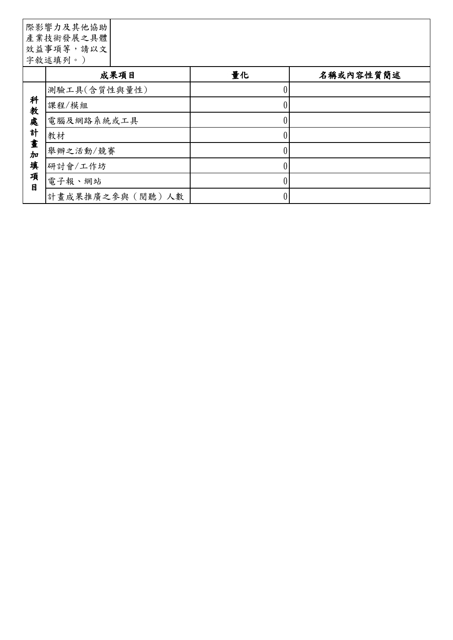|                                                       | 際影響力及其他協助<br>產業技術發展之具體<br>效益事項等,請以文<br>字敘述填列。) |    |           |
|-------------------------------------------------------|------------------------------------------------|----|-----------|
|                                                       | 成果項目                                           | 量化 | 名稱或內容性質簡述 |
| 科<br>教<br>處<br>計<br>畫<br>$\frac{1}{2}$<br>填<br>項<br>目 | 測驗工具(含質性與量性)                                   | 0  |           |
|                                                       | 課程/模組                                          | 0  |           |
|                                                       | 電腦及網路系統或工具                                     | 0  |           |
|                                                       | 教材                                             | 0  |           |
|                                                       | 舉辦之活動/競賽                                       | 0  |           |
|                                                       | 研討會/工作坊                                        | 0  |           |
|                                                       | 電子報、網站                                         | 0  |           |
|                                                       | 計畫成果推廣之參與(閱聽)人數                                | 0  |           |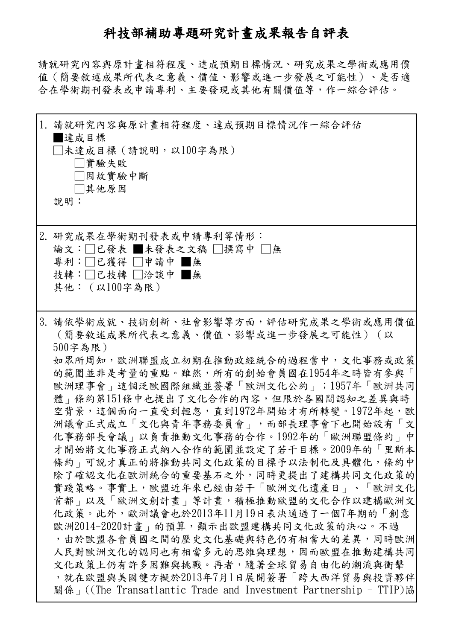# 科技部補助專題研究計畫成果報告自評表

請就研究內容與原計畫相符程度、達成預期目標情況、研究成果之學術或應用價 值(簡要敘述成果所代表之意義、價值、影響或進一步發展之可能性)、是否適 合在學術期刊發表或申請專利、主要發現或其他有關價值等,作一綜合評估。

| 1. 請就研究內容與原計畫相符程度、達成預期目標情況作一綜合評估<br>  達成目標<br>□未達成目標 (請說明,以100字為限)<br>□實驗失敗<br>□因故實驗中斷<br>□其他原因<br>說明:                                                                                                                                                                                                                                                                                                                                                                                                                                                                                                                                                                                                                                                                                                                                                                                                           |
|------------------------------------------------------------------------------------------------------------------------------------------------------------------------------------------------------------------------------------------------------------------------------------------------------------------------------------------------------------------------------------------------------------------------------------------------------------------------------------------------------------------------------------------------------------------------------------------------------------------------------------------------------------------------------------------------------------------------------------------------------------------------------------------------------------------------------------------------------------------------------------------------------------------|
| 2. 研究成果在學術期刊發表或申請專利等情形:<br>論文:□已發表 ■未發表之文稿 □撰寫中 □無<br>專利:□已獲得 □申請中 ■無<br>技轉:□已技轉 □洽談中 ■無<br>其他: (以100字為限)                                                                                                                                                                                                                                                                                                                                                                                                                                                                                                                                                                                                                                                                                                                                                                                                        |
| 3. 請依學術成就、技術創新、社會影響等方面,評估研究成果之學術或應用價值 <br>(簡要敘述成果所代表之意義、價值、影響或進一步發展之可能性) (以<br>$500$ 字為限)<br>如眾所周知,歐洲聯盟成立初期在推動政經統合的過程當中,文化事務或政策<br>的範圍並非是考量的重點。雖然,所有的創始會員國在1954年之時皆有參與「<br>歐洲理事會   這個泛歐國際組織並簽署「歐洲文化公約   ;1957年「歐洲共同 <br>體   條約第151條中也提出了文化合作的內容,但限於各國間認知之差異與時<br>空背景,這個面向一直受到輕忽,直到1972年開始才有所轉變。1972年起,歐<br>洲議會正式成立「文化與青年事務委員會」,而部長理事會下也開始設有「文」<br>化事務部長會議 的以負責推動文化事務的合作。1992年的「歐洲聯盟條約」中<br>才開始將文化事務正式納入合作的範圍並設定了若干目標。2009年的「里斯本<br>條約   可說才真正的將推動共同文化政策的目標予以法制化及具體化,條約中<br>除了確認文化在歐洲統合的重要基石之外,同時更提出了建構共同文化政策的<br>實踐策略。事實上,歐盟近年來已經由若干「歐洲文化遺產日」、「歐洲文化」<br>首都   以及「歐洲文創計畫   等計畫,積極推動歐盟的文化合作以建構歐洲文<br>化政策。此外,歐洲議會也於2013年11月19日表決通過了一個7年期的「創意<br>歐洲2014-2020計畫 的預算,顯示出歐盟建構共同文化政策的決心。不過<br>,由於歐盟各會員國之間的歷史文化基礎與特色仍有相當大的差異,同時歐洲 <br>人民對歐洲文化的認同也有相當多元的思維與理想,因而歐盟在推動建構共同<br>文化政策上仍有許多困難與挑戰。再者,隨著全球貿易自由化的潮流與衝擊<br>,就在歐盟與美國雙方擬於2013年7月1日展開簽署「跨大西洋貿易與投資夥伴<br>關係」((The Transatlantic Trade and Investment Partnership - TTIP)協 |